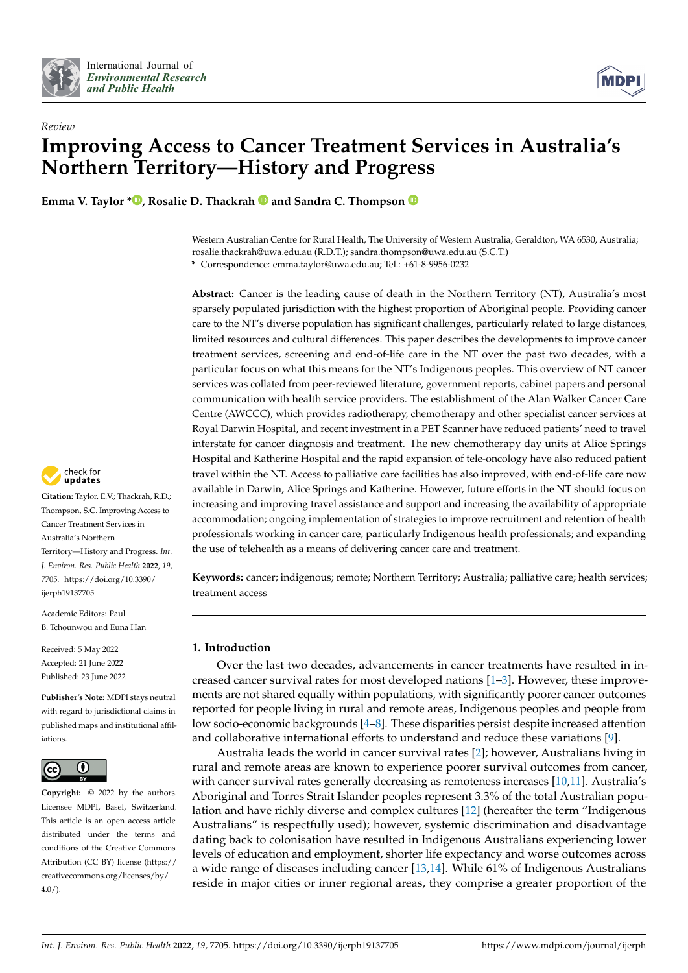



# *Review* **Improving Access to Cancer Treatment Services in Australia's Northern Territory—History and Progress**

**Emma V. Taylor [\\*](https://orcid.org/0000-0002-8612-4738)**  $\bullet$ , Rosalie D. Thackrah  $\bullet$  and Sandra C. Thompson  $\bullet$ 

Western Australian Centre for Rural Health, The University of Western Australia, Geraldton, WA 6530, Australia; rosalie.thackrah@uwa.edu.au (R.D.T.); sandra.thompson@uwa.edu.au (S.C.T.) **\*** Correspondence: emma.taylor@uwa.edu.au; Tel.: +61-8-9956-0232

**Abstract:** Cancer is the leading cause of death in the Northern Territory (NT), Australia's most sparsely populated jurisdiction with the highest proportion of Aboriginal people. Providing cancer care to the NT's diverse population has significant challenges, particularly related to large distances, limited resources and cultural differences. This paper describes the developments to improve cancer treatment services, screening and end-of-life care in the NT over the past two decades, with a particular focus on what this means for the NT's Indigenous peoples. This overview of NT cancer services was collated from peer-reviewed literature, government reports, cabinet papers and personal communication with health service providers. The establishment of the Alan Walker Cancer Care Centre (AWCCC), which provides radiotherapy, chemotherapy and other specialist cancer services at Royal Darwin Hospital, and recent investment in a PET Scanner have reduced patients' need to travel interstate for cancer diagnosis and treatment. The new chemotherapy day units at Alice Springs Hospital and Katherine Hospital and the rapid expansion of tele-oncology have also reduced patient travel within the NT. Access to palliative care facilities has also improved, with end-of-life care now available in Darwin, Alice Springs and Katherine. However, future efforts in the NT should focus on increasing and improving travel assistance and support and increasing the availability of appropriate accommodation; ongoing implementation of strategies to improve recruitment and retention of health professionals working in cancer care, particularly Indigenous health professionals; and expanding the use of telehealth as a means of delivering cancer care and treatment.

**Keywords:** cancer; indigenous; remote; Northern Territory; Australia; palliative care; health services; treatment access

# **1. Introduction**

Over the last two decades, advancements in cancer treatments have resulted in increased cancer survival rates for most developed nations [\[1](#page-12-0)[–3\]](#page-12-1). However, these improvements are not shared equally within populations, with significantly poorer cancer outcomes reported for people living in rural and remote areas, Indigenous peoples and people from low socio-economic backgrounds [\[4–](#page-12-2)[8\]](#page-13-0). These disparities persist despite increased attention and collaborative international efforts to understand and reduce these variations [\[9\]](#page-13-1).

Australia leads the world in cancer survival rates [\[2\]](#page-12-3); however, Australians living in rural and remote areas are known to experience poorer survival outcomes from cancer, with cancer survival rates generally decreasing as remoteness increases [\[10,](#page-13-2)[11\]](#page-13-3). Australia's Aboriginal and Torres Strait Islander peoples represent 3.3% of the total Australian population and have richly diverse and complex cultures [\[12\]](#page-13-4) (hereafter the term "Indigenous Australians" is respectfully used); however, systemic discrimination and disadvantage dating back to colonisation have resulted in Indigenous Australians experiencing lower levels of education and employment, shorter life expectancy and worse outcomes across a wide range of diseases including cancer [\[13](#page-13-5)[,14\]](#page-13-6). While 61% of Indigenous Australians reside in major cities or inner regional areas, they comprise a greater proportion of the



**Citation:** Taylor, E.V.; Thackrah, R.D.; Thompson, S.C. Improving Access to Cancer Treatment Services in Australia's Northern Territory—History and Progress. *Int. J. Environ. Res. Public Health* **2022**, *19*, 7705. [https://doi.org/10.3390/](https://doi.org/10.3390/ijerph19137705) [ijerph19137705](https://doi.org/10.3390/ijerph19137705)

Academic Editors: Paul B. Tchounwou and Euna Han

Received: 5 May 2022 Accepted: 21 June 2022 Published: 23 June 2022

**Publisher's Note:** MDPI stays neutral with regard to jurisdictional claims in published maps and institutional affiliations.



**Copyright:** © 2022 by the authors. Licensee MDPI, Basel, Switzerland. This article is an open access article distributed under the terms and conditions of the Creative Commons Attribution (CC BY) license [\(https://](https://creativecommons.org/licenses/by/4.0/) [creativecommons.org/licenses/by/](https://creativecommons.org/licenses/by/4.0/)  $4.0/$ ).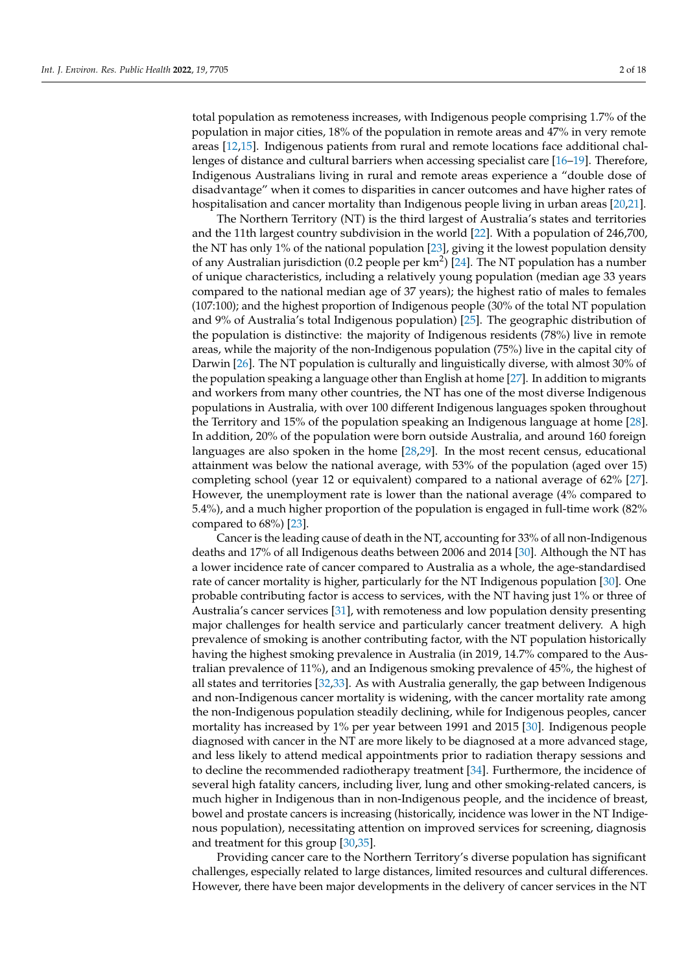total population as remoteness increases, with Indigenous people comprising 1.7% of the population in major cities, 18% of the population in remote areas and 47% in very remote areas [\[12](#page-13-4)[,15\]](#page-13-7). Indigenous patients from rural and remote locations face additional challenges of distance and cultural barriers when accessing specialist care [\[16](#page-13-8)[–19\]](#page-13-9). Therefore, Indigenous Australians living in rural and remote areas experience a "double dose of disadvantage" when it comes to disparities in cancer outcomes and have higher rates of hospitalisation and cancer mortality than Indigenous people living in urban areas [\[20,](#page-13-10)[21\]](#page-13-11).

The Northern Territory (NT) is the third largest of Australia's states and territories and the 11th largest country subdivision in the world [\[22\]](#page-13-12). With a population of 246,700, the NT has only 1% of the national population [\[23\]](#page-13-13), giving it the lowest population density of any Australian jurisdiction (0.2 people per  $km^2$ ) [\[24\]](#page-13-14). The NT population has a number of unique characteristics, including a relatively young population (median age 33 years compared to the national median age of 37 years); the highest ratio of males to females (107:100); and the highest proportion of Indigenous people (30% of the total NT population and 9% of Australia's total Indigenous population) [\[25\]](#page-13-15). The geographic distribution of the population is distinctive: the majority of Indigenous residents (78%) live in remote areas, while the majority of the non-Indigenous population (75%) live in the capital city of Darwin [\[26\]](#page-13-16). The NT population is culturally and linguistically diverse, with almost 30% of the population speaking a language other than English at home [\[27\]](#page-13-17). In addition to migrants and workers from many other countries, the NT has one of the most diverse Indigenous populations in Australia, with over 100 different Indigenous languages spoken throughout the Territory and 15% of the population speaking an Indigenous language at home [\[28\]](#page-13-18). In addition, 20% of the population were born outside Australia, and around 160 foreign languages are also spoken in the home [\[28,](#page-13-18)[29\]](#page-13-19). In the most recent census, educational attainment was below the national average, with 53% of the population (aged over 15) completing school (year 12 or equivalent) compared to a national average of 62% [\[27\]](#page-13-17). However, the unemployment rate is lower than the national average (4% compared to 5.4%), and a much higher proportion of the population is engaged in full-time work (82% compared to 68%) [\[23\]](#page-13-13).

Cancer is the leading cause of death in the NT, accounting for 33% of all non-Indigenous deaths and 17% of all Indigenous deaths between 2006 and 2014 [\[30\]](#page-13-20). Although the NT has a lower incidence rate of cancer compared to Australia as a whole, the age-standardised rate of cancer mortality is higher, particularly for the NT Indigenous population [\[30\]](#page-13-20). One probable contributing factor is access to services, with the NT having just 1% or three of Australia's cancer services [\[31\]](#page-13-21), with remoteness and low population density presenting major challenges for health service and particularly cancer treatment delivery. A high prevalence of smoking is another contributing factor, with the NT population historically having the highest smoking prevalence in Australia (in 2019, 14.7% compared to the Australian prevalence of 11%), and an Indigenous smoking prevalence of 45%, the highest of all states and territories [\[32](#page-13-22)[,33\]](#page-13-23). As with Australia generally, the gap between Indigenous and non-Indigenous cancer mortality is widening, with the cancer mortality rate among the non-Indigenous population steadily declining, while for Indigenous peoples, cancer mortality has increased by 1% per year between 1991 and 2015 [\[30\]](#page-13-20). Indigenous people diagnosed with cancer in the NT are more likely to be diagnosed at a more advanced stage, and less likely to attend medical appointments prior to radiation therapy sessions and to decline the recommended radiotherapy treatment [\[34\]](#page-14-0). Furthermore, the incidence of several high fatality cancers, including liver, lung and other smoking-related cancers, is much higher in Indigenous than in non-Indigenous people, and the incidence of breast, bowel and prostate cancers is increasing (historically, incidence was lower in the NT Indigenous population), necessitating attention on improved services for screening, diagnosis and treatment for this group [\[30,](#page-13-20)[35\]](#page-14-1).

Providing cancer care to the Northern Territory's diverse population has significant challenges, especially related to large distances, limited resources and cultural differences. However, there have been major developments in the delivery of cancer services in the NT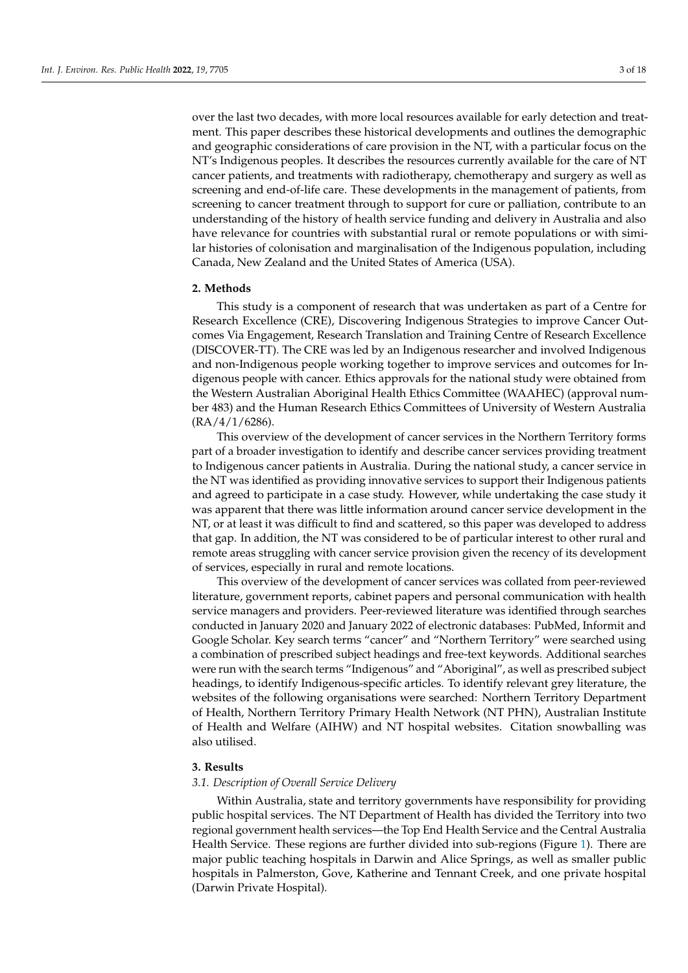over the last two decades, with more local resources available for early detection and treatment. This paper describes these historical developments and outlines the demographic and geographic considerations of care provision in the NT, with a particular focus on the NT's Indigenous peoples. It describes the resources currently available for the care of NT cancer patients, and treatments with radiotherapy, chemotherapy and surgery as well as screening and end-of-life care. These developments in the management of patients, from screening to cancer treatment through to support for cure or palliation, contribute to an understanding of the history of health service funding and delivery in Australia and also have relevance for countries with substantial rural or remote populations or with similar histories of colonisation and marginalisation of the Indigenous population, including Canada, New Zealand and the United States of America (USA).

## **2. Methods**

This study is a component of research that was undertaken as part of a Centre for Research Excellence (CRE), Discovering Indigenous Strategies to improve Cancer Outcomes Via Engagement, Research Translation and Training Centre of Research Excellence (DISCOVER-TT). The CRE was led by an Indigenous researcher and involved Indigenous and non-Indigenous people working together to improve services and outcomes for Indigenous people with cancer. Ethics approvals for the national study were obtained from the Western Australian Aboriginal Health Ethics Committee (WAAHEC) (approval number 483) and the Human Research Ethics Committees of University of Western Australia (RA/4/1/6286).

This overview of the development of cancer services in the Northern Territory forms part of a broader investigation to identify and describe cancer services providing treatment to Indigenous cancer patients in Australia. During the national study, a cancer service in the NT was identified as providing innovative services to support their Indigenous patients and agreed to participate in a case study. However, while undertaking the case study it was apparent that there was little information around cancer service development in the NT, or at least it was difficult to find and scattered, so this paper was developed to address that gap. In addition, the NT was considered to be of particular interest to other rural and remote areas struggling with cancer service provision given the recency of its development of services, especially in rural and remote locations.

This overview of the development of cancer services was collated from peer-reviewed literature, government reports, cabinet papers and personal communication with health service managers and providers. Peer-reviewed literature was identified through searches conducted in January 2020 and January 2022 of electronic databases: PubMed, Informit and Google Scholar. Key search terms "cancer" and "Northern Territory" were searched using a combination of prescribed subject headings and free-text keywords. Additional searches were run with the search terms "Indigenous" and "Aboriginal", as well as prescribed subject headings, to identify Indigenous-specific articles. To identify relevant grey literature, the websites of the following organisations were searched: Northern Territory Department of Health, Northern Territory Primary Health Network (NT PHN), Australian Institute of Health and Welfare (AIHW) and NT hospital websites. Citation snowballing was also utilised.

## **3. Results**

#### *3.1. Description of Overall Service Delivery*

Within Australia, state and territory governments have responsibility for providing public hospital services. The NT Department of Health has divided the Territory into two regional government health services—the Top End Health Service and the Central Australia Health Service. These regions are further divided into sub-regions (Figure [1\)](#page-3-0). There are major public teaching hospitals in Darwin and Alice Springs, as well as smaller public hospitals in Palmerston, Gove, Katherine and Tennant Creek, and one private hospital (Darwin Private Hospital).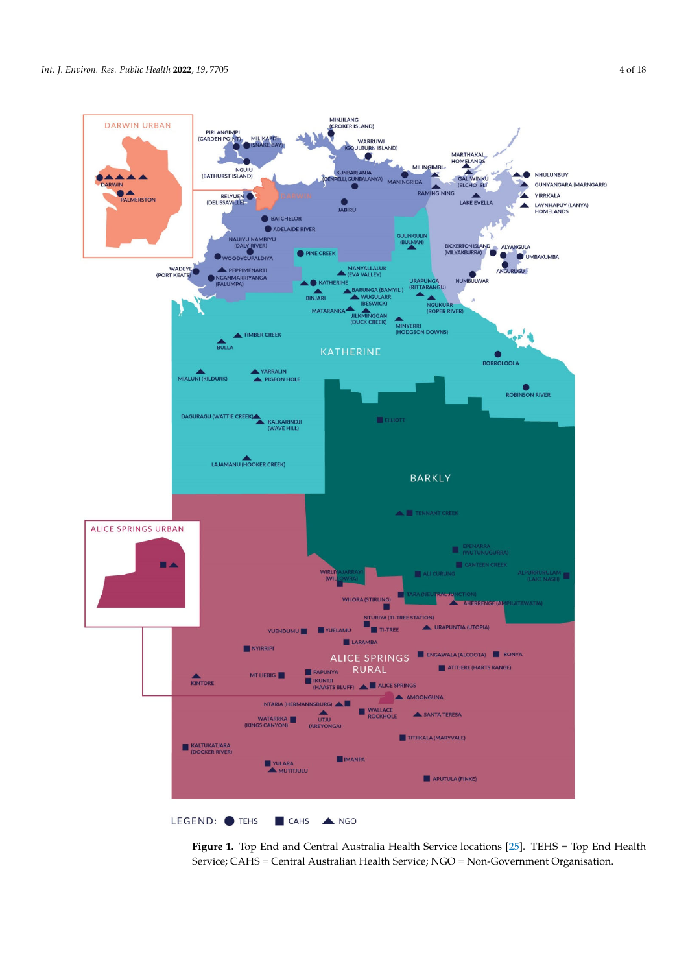<span id="page-3-0"></span>

Service; CAHS = Central Australian Health Service; NGO = Non-Government Organisation. **Figure 1.** Top End and Central Australia Health Service locations [\[25\]](#page-13-15). TEHS = Top End Health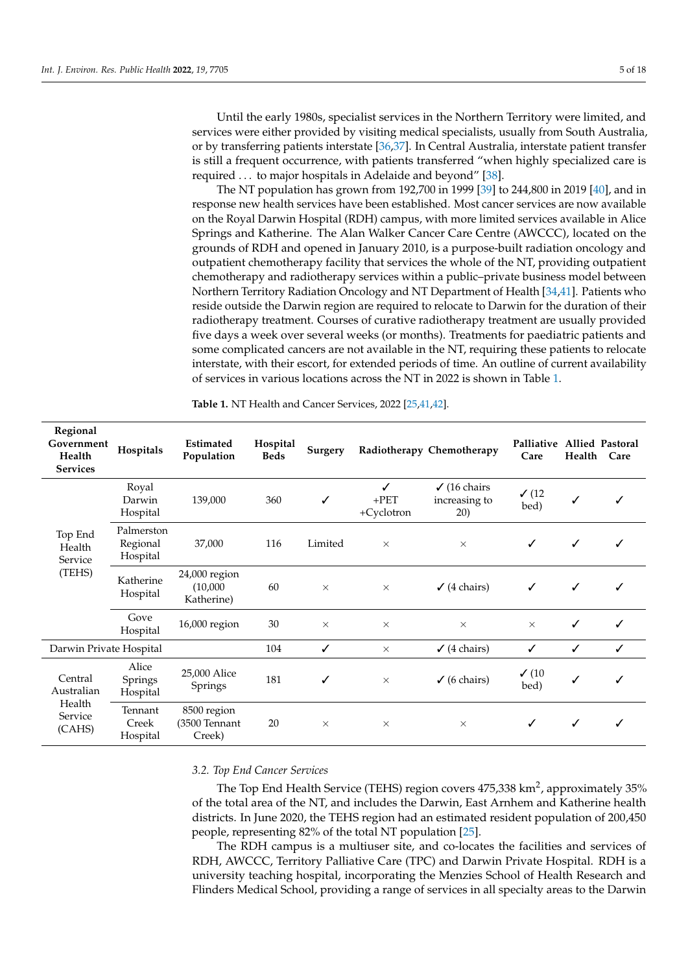Until the early 1980s, specialist services in the Northern Territory were limited, and services were either provided by visiting medical specialists, usually from South Australia, or by transferring patients interstate [\[36,](#page-14-2)[37\]](#page-14-3). In Central Australia, interstate patient transfer is still a frequent occurrence, with patients transferred "when highly specialized care is required ... to major hospitals in Adelaide and beyond" [\[38\]](#page-14-4).

The NT population has grown from 192,700 in 1999 [\[39\]](#page-14-5) to 244,800 in 2019 [\[40\]](#page-14-6), and in response new health services have been established. Most cancer services are now available on the Royal Darwin Hospital (RDH) campus, with more limited services available in Alice Springs and Katherine. The Alan Walker Cancer Care Centre (AWCCC), located on the grounds of RDH and opened in January 2010, is a purpose-built radiation oncology and outpatient chemotherapy facility that services the whole of the NT, providing outpatient chemotherapy and radiotherapy services within a public–private business model between Northern Territory Radiation Oncology and NT Department of Health [\[34](#page-14-0)[,41\]](#page-14-7). Patients who reside outside the Darwin region are required to relocate to Darwin for the duration of their radiotherapy treatment. Courses of curative radiotherapy treatment are usually provided five days a week over several weeks (or months). Treatments for paediatric patients and some complicated cancers are not available in the NT, requiring these patients to relocate interstate, with their escort, for extended periods of time. An outline of current availability of services in various locations across the NT in 2022 is shown in Table [1.](#page-4-0)

| Regional<br>Government<br>Health<br><b>Services</b>  | Hospitals                          | Estimated<br>Population                 | Hospital<br><b>Beds</b> | Surgery  |                            | Radiotherapy Chemotherapy                       | Palliative Allied Pastoral<br>Care | Health       | Care         |
|------------------------------------------------------|------------------------------------|-----------------------------------------|-------------------------|----------|----------------------------|-------------------------------------------------|------------------------------------|--------------|--------------|
| Top End<br>Health<br>Service<br>(TEHS)               | Royal<br>Darwin<br>Hospital        | 139,000                                 | 360                     | ✓        | ✓<br>$+$ PET<br>+Cyclotron | $\checkmark$ (16 chairs<br>increasing to<br>20) | $\checkmark$ (12)<br>bed)          |              | ✓            |
|                                                      | Palmerston<br>Regional<br>Hospital | 37,000                                  | 116                     | Limited  | $\times$                   | $\times$                                        | $\checkmark$                       | $\checkmark$ | ✓            |
|                                                      | Katherine<br>Hospital              | 24,000 region<br>(10,000)<br>Katherine) | 60                      | $\times$ | $\times$                   | $\checkmark$ (4 chairs)                         | $\checkmark$                       | $\checkmark$ | $\checkmark$ |
|                                                      | Gove<br>Hospital                   | 16,000 region                           | 30                      | $\times$ | $\times$                   | $\times$                                        | $\times$                           | ✓            | ✓            |
| Darwin Private Hospital                              |                                    | 104                                     | ✓                       | $\times$ | $\checkmark$ (4 chairs)    | $\checkmark$                                    | ✓                                  | $\checkmark$ |              |
| Central<br>Australian<br>Health<br>Service<br>(CAHS) | Alice<br>Springs<br>Hospital       | 25,000 Alice<br>Springs                 | 181                     | ✓        | $\times$                   | $\checkmark$ (6 chairs)                         | $\checkmark$ (10<br>bed)           | ✓            | ✓            |
|                                                      | Tennant<br>Creek<br>Hospital       | 8500 region<br>(3500 Tennant<br>Creek)  | 20                      | $\times$ | $\times$                   | $\times$                                        | ✓                                  | ✓            | ✓            |

<span id="page-4-0"></span>**Table 1.** NT Health and Cancer Services, 2022 [\[25](#page-13-15)[,41,](#page-14-7)[42\]](#page-14-8).

## *3.2. Top End Cancer Services*

The Top End Health Service (TEHS) region covers  $475,338$  km<sup>2</sup>, approximately  $35\%$ of the total area of the NT, and includes the Darwin, East Arnhem and Katherine health districts. In June 2020, the TEHS region had an estimated resident population of 200,450 people, representing 82% of the total NT population [\[25\]](#page-13-15).

The RDH campus is a multiuser site, and co-locates the facilities and services of RDH, AWCCC, Territory Palliative Care (TPC) and Darwin Private Hospital. RDH is a university teaching hospital, incorporating the Menzies School of Health Research and Flinders Medical School, providing a range of services in all specialty areas to the Darwin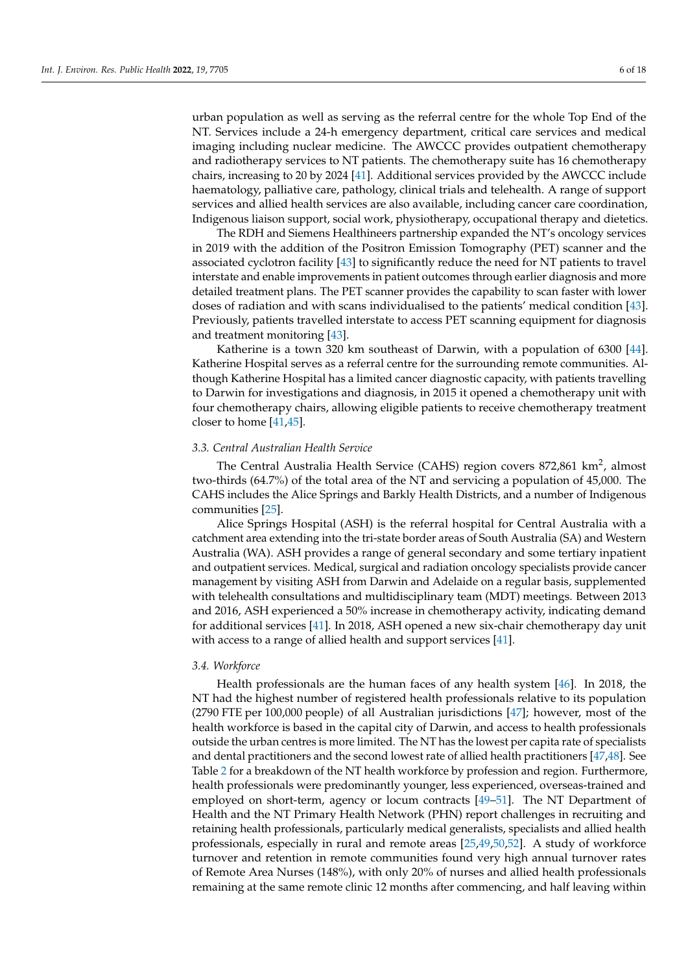urban population as well as serving as the referral centre for the whole Top End of the NT. Services include a 24-h emergency department, critical care services and medical imaging including nuclear medicine. The AWCCC provides outpatient chemotherapy and radiotherapy services to NT patients. The chemotherapy suite has 16 chemotherapy chairs, increasing to 20 by 2024 [\[41\]](#page-14-7). Additional services provided by the AWCCC include haematology, palliative care, pathology, clinical trials and telehealth. A range of support services and allied health services are also available, including cancer care coordination, Indigenous liaison support, social work, physiotherapy, occupational therapy and dietetics.

The RDH and Siemens Healthineers partnership expanded the NT's oncology services in 2019 with the addition of the Positron Emission Tomography (PET) scanner and the associated cyclotron facility [\[43\]](#page-14-9) to significantly reduce the need for NT patients to travel interstate and enable improvements in patient outcomes through earlier diagnosis and more detailed treatment plans. The PET scanner provides the capability to scan faster with lower doses of radiation and with scans individualised to the patients' medical condition [\[43\]](#page-14-9). Previously, patients travelled interstate to access PET scanning equipment for diagnosis and treatment monitoring [\[43\]](#page-14-9).

Katherine is a town 320 km southeast of Darwin, with a population of 6300 [\[44\]](#page-14-10). Katherine Hospital serves as a referral centre for the surrounding remote communities. Although Katherine Hospital has a limited cancer diagnostic capacity, with patients travelling to Darwin for investigations and diagnosis, in 2015 it opened a chemotherapy unit with four chemotherapy chairs, allowing eligible patients to receive chemotherapy treatment closer to home [\[41](#page-14-7)[,45\]](#page-14-11).

## *3.3. Central Australian Health Service*

The Central Australia Health Service (CAHS) region covers 872,861 km<sup>2</sup>, almost two-thirds (64.7%) of the total area of the NT and servicing a population of 45,000. The CAHS includes the Alice Springs and Barkly Health Districts, and a number of Indigenous communities [\[25\]](#page-13-15).

Alice Springs Hospital (ASH) is the referral hospital for Central Australia with a catchment area extending into the tri-state border areas of South Australia (SA) and Western Australia (WA). ASH provides a range of general secondary and some tertiary inpatient and outpatient services. Medical, surgical and radiation oncology specialists provide cancer management by visiting ASH from Darwin and Adelaide on a regular basis, supplemented with telehealth consultations and multidisciplinary team (MDT) meetings. Between 2013 and 2016, ASH experienced a 50% increase in chemotherapy activity, indicating demand for additional services [\[41\]](#page-14-7). In 2018, ASH opened a new six-chair chemotherapy day unit with access to a range of allied health and support services [\[41\]](#page-14-7).

## *3.4. Workforce*

Health professionals are the human faces of any health system [\[46\]](#page-14-12). In 2018, the NT had the highest number of registered health professionals relative to its population (2790 FTE per 100,000 people) of all Australian jurisdictions [\[47\]](#page-14-13); however, most of the health workforce is based in the capital city of Darwin, and access to health professionals outside the urban centres is more limited. The NT has the lowest per capita rate of specialists and dental practitioners and the second lowest rate of allied health practitioners [\[47,](#page-14-13)[48\]](#page-14-14). See Table [2](#page-6-0) for a breakdown of the NT health workforce by profession and region. Furthermore, health professionals were predominantly younger, less experienced, overseas-trained and employed on short-term, agency or locum contracts [\[49](#page-14-15)[–51\]](#page-14-16). The NT Department of Health and the NT Primary Health Network (PHN) report challenges in recruiting and retaining health professionals, particularly medical generalists, specialists and allied health professionals, especially in rural and remote areas [\[25](#page-13-15)[,49](#page-14-15)[,50](#page-14-17)[,52\]](#page-14-18). A study of workforce turnover and retention in remote communities found very high annual turnover rates of Remote Area Nurses (148%), with only 20% of nurses and allied health professionals remaining at the same remote clinic 12 months after commencing, and half leaving within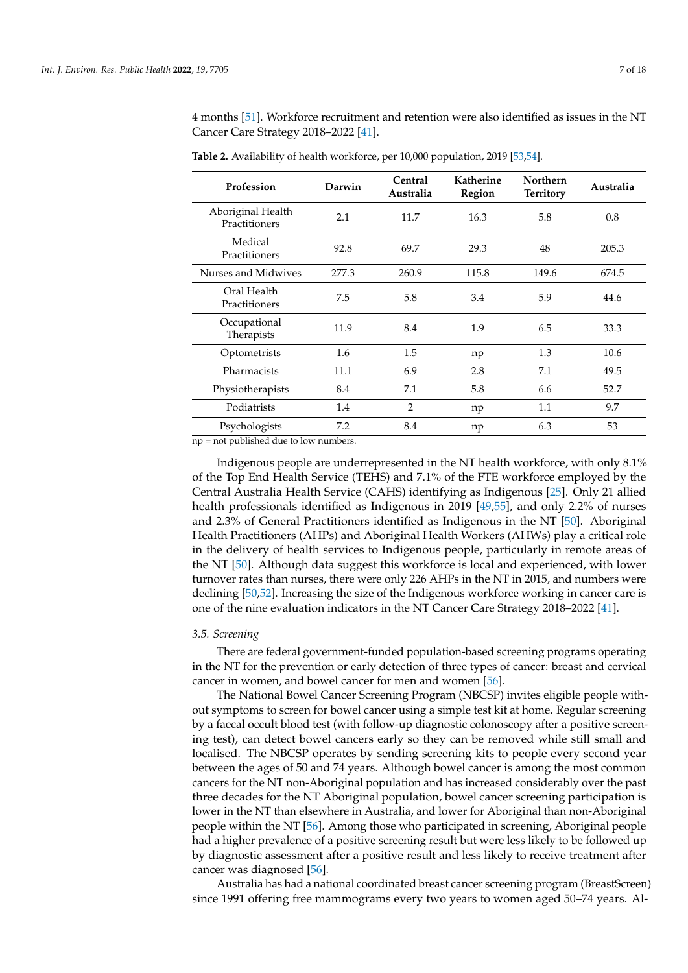4 months [\[51\]](#page-14-16). Workforce recruitment and retention were also identified as issues in the NT Cancer Care Strategy 2018–2022 [\[41\]](#page-14-7).

| Profession                         | Darwin | Central<br>Australia | <b>Katherine</b><br>Region | Northern<br><b>Territory</b> | Australia |
|------------------------------------|--------|----------------------|----------------------------|------------------------------|-----------|
| Aboriginal Health<br>Practitioners | 2.1    | 11.7                 | 16.3                       | 5.8                          | 0.8       |
| Medical<br>Practitioners           | 92.8   | 69.7                 | 29.3                       | 48                           | 205.3     |
| Nurses and Midwives                | 277.3  | 260.9                | 115.8                      | 149.6                        | 674.5     |
| Oral Health<br>Practitioners       | 7.5    | 5.8                  | 3.4                        | 5.9                          | 44.6      |
| Occupational<br>Therapists         | 11.9   | 8.4                  | 1.9                        | 6.5                          | 33.3      |
| Optometrists                       | 1.6    | 1.5                  | np                         | 1.3                          | 10.6      |
| Pharmacists                        | 11.1   | 6.9                  | 2.8                        | 7.1                          | 49.5      |
| Physiotherapists                   | 8.4    | 7.1                  | 5.8                        | 6.6                          | 52.7      |
| Podiatrists                        | 1.4    | $\overline{2}$       | np                         | 1.1                          | 9.7       |
| Psychologists                      | 7.2    | 8.4                  | np                         | 6.3                          | 53        |

<span id="page-6-0"></span>**Table 2.** Availability of health workforce, per 10,000 population, 2019 [\[53](#page-14-19)[,54\]](#page-14-20).

np = not published due to low numbers.

Indigenous people are underrepresented in the NT health workforce, with only 8.1% of the Top End Health Service (TEHS) and 7.1% of the FTE workforce employed by the Central Australia Health Service (CAHS) identifying as Indigenous [\[25\]](#page-13-15). Only 21 allied health professionals identified as Indigenous in 2019 [\[49](#page-14-15)[,55\]](#page-14-21), and only 2.2% of nurses and 2.3% of General Practitioners identified as Indigenous in the NT [\[50\]](#page-14-17). Aboriginal Health Practitioners (AHPs) and Aboriginal Health Workers (AHWs) play a critical role in the delivery of health services to Indigenous people, particularly in remote areas of the NT [\[50\]](#page-14-17). Although data suggest this workforce is local and experienced, with lower turnover rates than nurses, there were only 226 AHPs in the NT in 2015, and numbers were declining [\[50,](#page-14-17)[52\]](#page-14-18). Increasing the size of the Indigenous workforce working in cancer care is one of the nine evaluation indicators in the NT Cancer Care Strategy 2018–2022 [\[41\]](#page-14-7).

## *3.5. Screening*

There are federal government-funded population-based screening programs operating in the NT for the prevention or early detection of three types of cancer: breast and cervical cancer in women, and bowel cancer for men and women [\[56\]](#page-14-22).

The National Bowel Cancer Screening Program (NBCSP) invites eligible people without symptoms to screen for bowel cancer using a simple test kit at home. Regular screening by a faecal occult blood test (with follow-up diagnostic colonoscopy after a positive screening test), can detect bowel cancers early so they can be removed while still small and localised. The NBCSP operates by sending screening kits to people every second year between the ages of 50 and 74 years. Although bowel cancer is among the most common cancers for the NT non-Aboriginal population and has increased considerably over the past three decades for the NT Aboriginal population, bowel cancer screening participation is lower in the NT than elsewhere in Australia, and lower for Aboriginal than non-Aboriginal people within the NT [\[56\]](#page-14-22). Among those who participated in screening, Aboriginal people had a higher prevalence of a positive screening result but were less likely to be followed up by diagnostic assessment after a positive result and less likely to receive treatment after cancer was diagnosed [\[56\]](#page-14-22).

Australia has had a national coordinated breast cancer screening program (BreastScreen) since 1991 offering free mammograms every two years to women aged 50–74 years. Al-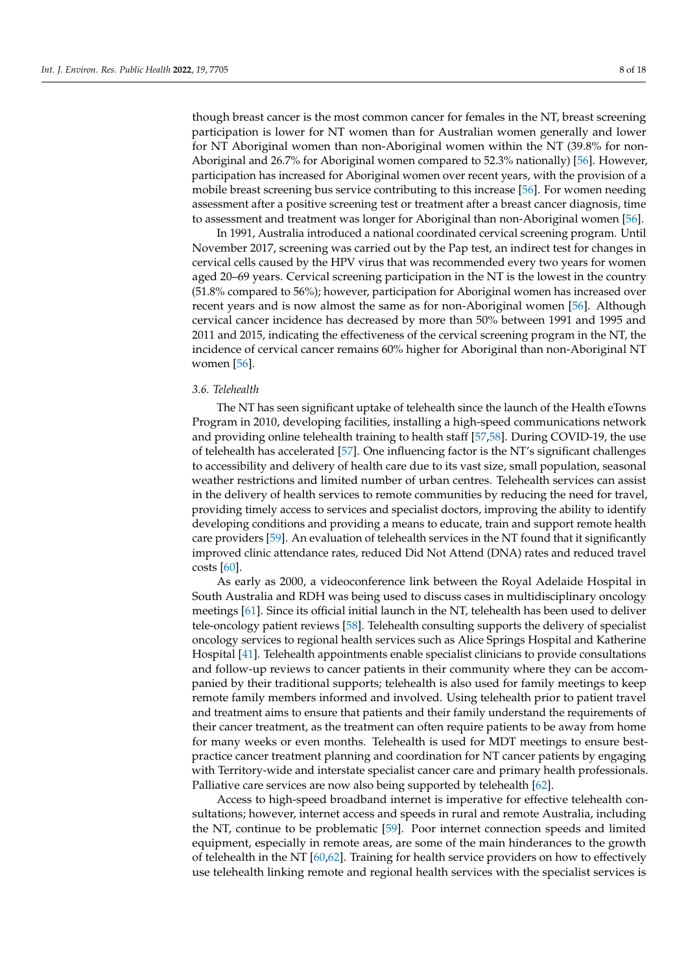though breast cancer is the most common cancer for females in the NT, breast screening participation is lower for NT women than for Australian women generally and lower for NT Aboriginal women than non-Aboriginal women within the NT (39.8% for non-Aboriginal and 26.7% for Aboriginal women compared to 52.3% nationally) [\[56\]](#page-14-22). However, participation has increased for Aboriginal women over recent years, with the provision of a mobile breast screening bus service contributing to this increase [\[56\]](#page-14-22). For women needing assessment after a positive screening test or treatment after a breast cancer diagnosis, time to assessment and treatment was longer for Aboriginal than non-Aboriginal women [\[56\]](#page-14-22).

In 1991, Australia introduced a national coordinated cervical screening program. Until November 2017, screening was carried out by the Pap test, an indirect test for changes in cervical cells caused by the HPV virus that was recommended every two years for women aged 20–69 years. Cervical screening participation in the NT is the lowest in the country (51.8% compared to 56%); however, participation for Aboriginal women has increased over recent years and is now almost the same as for non-Aboriginal women [\[56\]](#page-14-22). Although cervical cancer incidence has decreased by more than 50% between 1991 and 1995 and 2011 and 2015, indicating the effectiveness of the cervical screening program in the NT, the incidence of cervical cancer remains 60% higher for Aboriginal than non-Aboriginal NT women [\[56\]](#page-14-22).

## *3.6. Telehealth*

The NT has seen significant uptake of telehealth since the launch of the Health eTowns Program in 2010, developing facilities, installing a high-speed communications network and providing online telehealth training to health staff [\[57,](#page-14-23)[58\]](#page-14-24). During COVID-19, the use of telehealth has accelerated [\[57\]](#page-14-23). One influencing factor is the NT's significant challenges to accessibility and delivery of health care due to its vast size, small population, seasonal weather restrictions and limited number of urban centres. Telehealth services can assist in the delivery of health services to remote communities by reducing the need for travel, providing timely access to services and specialist doctors, improving the ability to identify developing conditions and providing a means to educate, train and support remote health care providers [\[59\]](#page-15-0). An evaluation of telehealth services in the NT found that it significantly improved clinic attendance rates, reduced Did Not Attend (DNA) rates and reduced travel costs [\[60\]](#page-15-1).

As early as 2000, a videoconference link between the Royal Adelaide Hospital in South Australia and RDH was being used to discuss cases in multidisciplinary oncology meetings [\[61\]](#page-15-2). Since its official initial launch in the NT, telehealth has been used to deliver tele-oncology patient reviews [\[58\]](#page-14-24). Telehealth consulting supports the delivery of specialist oncology services to regional health services such as Alice Springs Hospital and Katherine Hospital [\[41\]](#page-14-7). Telehealth appointments enable specialist clinicians to provide consultations and follow-up reviews to cancer patients in their community where they can be accompanied by their traditional supports; telehealth is also used for family meetings to keep remote family members informed and involved. Using telehealth prior to patient travel and treatment aims to ensure that patients and their family understand the requirements of their cancer treatment, as the treatment can often require patients to be away from home for many weeks or even months. Telehealth is used for MDT meetings to ensure bestpractice cancer treatment planning and coordination for NT cancer patients by engaging with Territory-wide and interstate specialist cancer care and primary health professionals. Palliative care services are now also being supported by telehealth [\[62\]](#page-15-3).

Access to high-speed broadband internet is imperative for effective telehealth consultations; however, internet access and speeds in rural and remote Australia, including the NT, continue to be problematic [\[59\]](#page-15-0). Poor internet connection speeds and limited equipment, especially in remote areas, are some of the main hinderances to the growth of telehealth in the NT [\[60](#page-15-1)[,62\]](#page-15-3). Training for health service providers on how to effectively use telehealth linking remote and regional health services with the specialist services is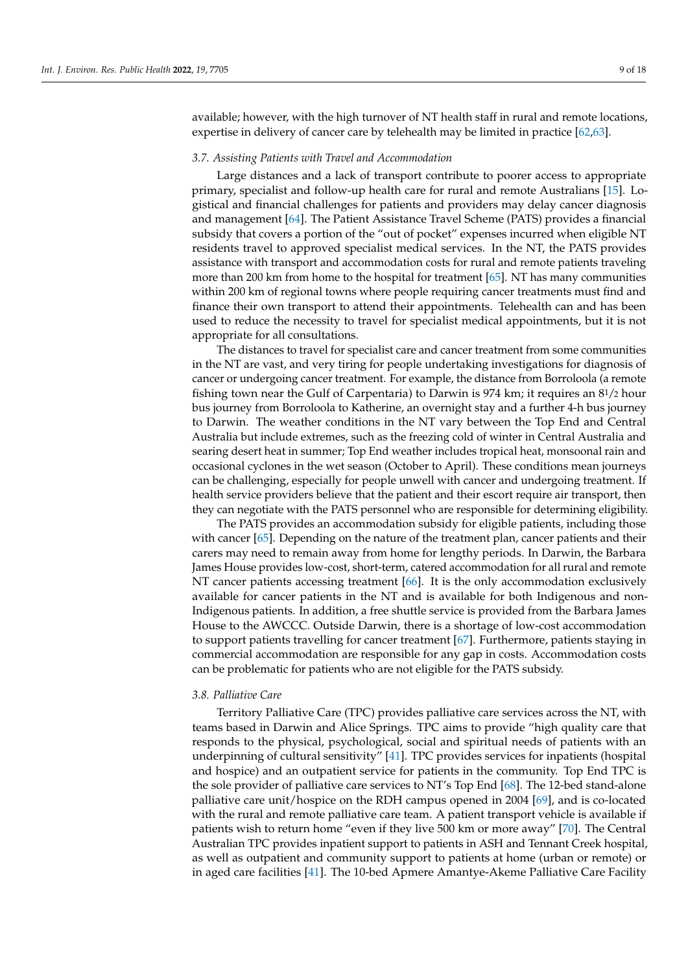available; however, with the high turnover of NT health staff in rural and remote locations, expertise in delivery of cancer care by telehealth may be limited in practice [\[62](#page-15-3)[,63\]](#page-15-4).

#### *3.7. Assisting Patients with Travel and Accommodation*

Large distances and a lack of transport contribute to poorer access to appropriate primary, specialist and follow-up health care for rural and remote Australians [\[15\]](#page-13-7). Logistical and financial challenges for patients and providers may delay cancer diagnosis and management [\[64\]](#page-15-5). The Patient Assistance Travel Scheme (PATS) provides a financial subsidy that covers a portion of the "out of pocket" expenses incurred when eligible NT residents travel to approved specialist medical services. In the NT, the PATS provides assistance with transport and accommodation costs for rural and remote patients traveling more than 200 km from home to the hospital for treatment [\[65\]](#page-15-6). NT has many communities within 200 km of regional towns where people requiring cancer treatments must find and finance their own transport to attend their appointments. Telehealth can and has been used to reduce the necessity to travel for specialist medical appointments, but it is not appropriate for all consultations.

The distances to travel for specialist care and cancer treatment from some communities in the NT are vast, and very tiring for people undertaking investigations for diagnosis of cancer or undergoing cancer treatment. For example, the distance from Borroloola (a remote fishing town near the Gulf of Carpentaria) to Darwin is 974 km; it requires an 81/2 hour bus journey from Borroloola to Katherine, an overnight stay and a further 4-h bus journey to Darwin. The weather conditions in the NT vary between the Top End and Central Australia but include extremes, such as the freezing cold of winter in Central Australia and searing desert heat in summer; Top End weather includes tropical heat, monsoonal rain and occasional cyclones in the wet season (October to April). These conditions mean journeys can be challenging, especially for people unwell with cancer and undergoing treatment. If health service providers believe that the patient and their escort require air transport, then they can negotiate with the PATS personnel who are responsible for determining eligibility.

The PATS provides an accommodation subsidy for eligible patients, including those with cancer [\[65\]](#page-15-6). Depending on the nature of the treatment plan, cancer patients and their carers may need to remain away from home for lengthy periods. In Darwin, the Barbara James House provides low-cost, short-term, catered accommodation for all rural and remote NT cancer patients accessing treatment [\[66\]](#page-15-7). It is the only accommodation exclusively available for cancer patients in the NT and is available for both Indigenous and non-Indigenous patients. In addition, a free shuttle service is provided from the Barbara James House to the AWCCC. Outside Darwin, there is a shortage of low-cost accommodation to support patients travelling for cancer treatment [\[67\]](#page-15-8). Furthermore, patients staying in commercial accommodation are responsible for any gap in costs. Accommodation costs can be problematic for patients who are not eligible for the PATS subsidy.

## *3.8. Palliative Care*

Territory Palliative Care (TPC) provides palliative care services across the NT, with teams based in Darwin and Alice Springs. TPC aims to provide "high quality care that responds to the physical, psychological, social and spiritual needs of patients with an underpinning of cultural sensitivity" [\[41\]](#page-14-7). TPC provides services for inpatients (hospital and hospice) and an outpatient service for patients in the community. Top End TPC is the sole provider of palliative care services to NT's Top End [\[68\]](#page-15-9). The 12-bed stand-alone palliative care unit/hospice on the RDH campus opened in 2004 [\[69\]](#page-15-10), and is co-located with the rural and remote palliative care team. A patient transport vehicle is available if patients wish to return home "even if they live 500 km or more away" [\[70\]](#page-15-11). The Central Australian TPC provides inpatient support to patients in ASH and Tennant Creek hospital, as well as outpatient and community support to patients at home (urban or remote) or in aged care facilities [\[41\]](#page-14-7). The 10-bed Apmere Amantye-Akeme Palliative Care Facility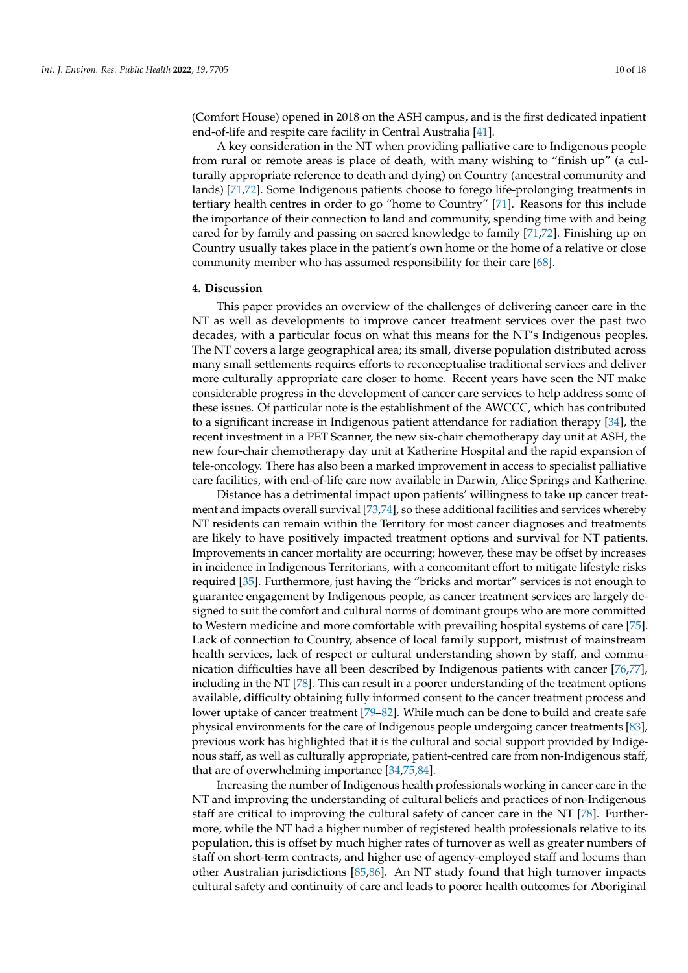(Comfort House) opened in 2018 on the ASH campus, and is the first dedicated inpatient end-of-life and respite care facility in Central Australia [\[41\]](#page-14-7).

A key consideration in the NT when providing palliative care to Indigenous people from rural or remote areas is place of death, with many wishing to "finish up" (a culturally appropriate reference to death and dying) on Country (ancestral community and lands) [\[71](#page-15-12)[,72\]](#page-15-13). Some Indigenous patients choose to forego life-prolonging treatments in tertiary health centres in order to go "home to Country" [\[71\]](#page-15-12). Reasons for this include the importance of their connection to land and community, spending time with and being cared for by family and passing on sacred knowledge to family [\[71,](#page-15-12)[72\]](#page-15-13). Finishing up on Country usually takes place in the patient's own home or the home of a relative or close community member who has assumed responsibility for their care [\[68\]](#page-15-9).

#### **4. Discussion**

This paper provides an overview of the challenges of delivering cancer care in the NT as well as developments to improve cancer treatment services over the past two decades, with a particular focus on what this means for the NT's Indigenous peoples. The NT covers a large geographical area; its small, diverse population distributed across many small settlements requires efforts to reconceptualise traditional services and deliver more culturally appropriate care closer to home. Recent years have seen the NT make considerable progress in the development of cancer care services to help address some of these issues. Of particular note is the establishment of the AWCCC, which has contributed to a significant increase in Indigenous patient attendance for radiation therapy [\[34\]](#page-14-0), the recent investment in a PET Scanner, the new six-chair chemotherapy day unit at ASH, the new four-chair chemotherapy day unit at Katherine Hospital and the rapid expansion of tele-oncology. There has also been a marked improvement in access to specialist palliative care facilities, with end-of-life care now available in Darwin, Alice Springs and Katherine.

Distance has a detrimental impact upon patients' willingness to take up cancer treatment and impacts overall survival [\[73](#page-15-14)[,74\]](#page-15-15), so these additional facilities and services whereby NT residents can remain within the Territory for most cancer diagnoses and treatments are likely to have positively impacted treatment options and survival for NT patients. Improvements in cancer mortality are occurring; however, these may be offset by increases in incidence in Indigenous Territorians, with a concomitant effort to mitigate lifestyle risks required [\[35\]](#page-14-1). Furthermore, just having the "bricks and mortar" services is not enough to guarantee engagement by Indigenous people, as cancer treatment services are largely designed to suit the comfort and cultural norms of dominant groups who are more committed to Western medicine and more comfortable with prevailing hospital systems of care [\[75\]](#page-15-16). Lack of connection to Country, absence of local family support, mistrust of mainstream health services, lack of respect or cultural understanding shown by staff, and communication difficulties have all been described by Indigenous patients with cancer [\[76,](#page-15-17)[77\]](#page-15-18), including in the NT [\[78\]](#page-15-19). This can result in a poorer understanding of the treatment options available, difficulty obtaining fully informed consent to the cancer treatment process and lower uptake of cancer treatment [\[79](#page-15-20)[–82\]](#page-15-21). While much can be done to build and create safe physical environments for the care of Indigenous people undergoing cancer treatments [\[83\]](#page-15-22), previous work has highlighted that it is the cultural and social support provided by Indigenous staff, as well as culturally appropriate, patient-centred care from non-Indigenous staff, that are of overwhelming importance [\[34,](#page-14-0)[75](#page-15-16)[,84\]](#page-15-23).

Increasing the number of Indigenous health professionals working in cancer care in the NT and improving the understanding of cultural beliefs and practices of non-Indigenous staff are critical to improving the cultural safety of cancer care in the NT [\[78\]](#page-15-19). Furthermore, while the NT had a higher number of registered health professionals relative to its population, this is offset by much higher rates of turnover as well as greater numbers of staff on short-term contracts, and higher use of agency-employed staff and locums than other Australian jurisdictions [\[85](#page-15-24)[,86\]](#page-16-0). An NT study found that high turnover impacts cultural safety and continuity of care and leads to poorer health outcomes for Aboriginal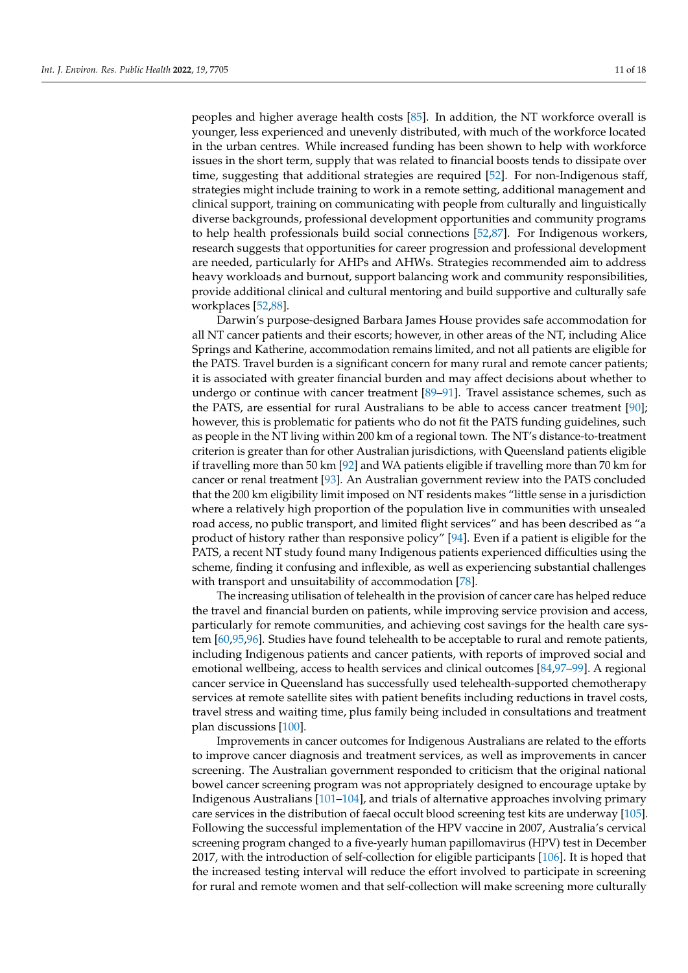peoples and higher average health costs [\[85\]](#page-15-24). In addition, the NT workforce overall is younger, less experienced and unevenly distributed, with much of the workforce located in the urban centres. While increased funding has been shown to help with workforce issues in the short term, supply that was related to financial boosts tends to dissipate over time, suggesting that additional strategies are required [\[52\]](#page-14-18). For non-Indigenous staff, strategies might include training to work in a remote setting, additional management and clinical support, training on communicating with people from culturally and linguistically diverse backgrounds, professional development opportunities and community programs to help health professionals build social connections [\[52,](#page-14-18)[87\]](#page-16-1). For Indigenous workers, research suggests that opportunities for career progression and professional development are needed, particularly for AHPs and AHWs. Strategies recommended aim to address heavy workloads and burnout, support balancing work and community responsibilities, provide additional clinical and cultural mentoring and build supportive and culturally safe workplaces [\[52](#page-14-18)[,88\]](#page-16-2).

Darwin's purpose-designed Barbara James House provides safe accommodation for all NT cancer patients and their escorts; however, in other areas of the NT, including Alice Springs and Katherine, accommodation remains limited, and not all patients are eligible for the PATS. Travel burden is a significant concern for many rural and remote cancer patients; it is associated with greater financial burden and may affect decisions about whether to undergo or continue with cancer treatment [\[89](#page-16-3)-91]. Travel assistance schemes, such as the PATS, are essential for rural Australians to be able to access cancer treatment [\[90\]](#page-16-5); however, this is problematic for patients who do not fit the PATS funding guidelines, such as people in the NT living within 200 km of a regional town. The NT's distance-to-treatment criterion is greater than for other Australian jurisdictions, with Queensland patients eligible if travelling more than 50 km [\[92\]](#page-16-6) and WA patients eligible if travelling more than 70 km for cancer or renal treatment [\[93\]](#page-16-7). An Australian government review into the PATS concluded that the 200 km eligibility limit imposed on NT residents makes "little sense in a jurisdiction where a relatively high proportion of the population live in communities with unsealed road access, no public transport, and limited flight services" and has been described as "a product of history rather than responsive policy" [\[94\]](#page-16-8). Even if a patient is eligible for the PATS, a recent NT study found many Indigenous patients experienced difficulties using the scheme, finding it confusing and inflexible, as well as experiencing substantial challenges with transport and unsuitability of accommodation [\[78\]](#page-15-19).

The increasing utilisation of telehealth in the provision of cancer care has helped reduce the travel and financial burden on patients, while improving service provision and access, particularly for remote communities, and achieving cost savings for the health care system [\[60,](#page-15-1)[95,](#page-16-9)[96\]](#page-16-10). Studies have found telehealth to be acceptable to rural and remote patients, including Indigenous patients and cancer patients, with reports of improved social and emotional wellbeing, access to health services and clinical outcomes [\[84](#page-15-23)[,97](#page-16-11)[–99\]](#page-16-12). A regional cancer service in Queensland has successfully used telehealth-supported chemotherapy services at remote satellite sites with patient benefits including reductions in travel costs, travel stress and waiting time, plus family being included in consultations and treatment plan discussions [\[100\]](#page-16-13).

Improvements in cancer outcomes for Indigenous Australians are related to the efforts to improve cancer diagnosis and treatment services, as well as improvements in cancer screening. The Australian government responded to criticism that the original national bowel cancer screening program was not appropriately designed to encourage uptake by Indigenous Australians [\[101](#page-16-14)[–104\]](#page-16-15), and trials of alternative approaches involving primary care services in the distribution of faecal occult blood screening test kits are underway [\[105\]](#page-16-16). Following the successful implementation of the HPV vaccine in 2007, Australia's cervical screening program changed to a five-yearly human papillomavirus (HPV) test in December 2017, with the introduction of self-collection for eligible participants [\[106\]](#page-16-17). It is hoped that the increased testing interval will reduce the effort involved to participate in screening for rural and remote women and that self-collection will make screening more culturally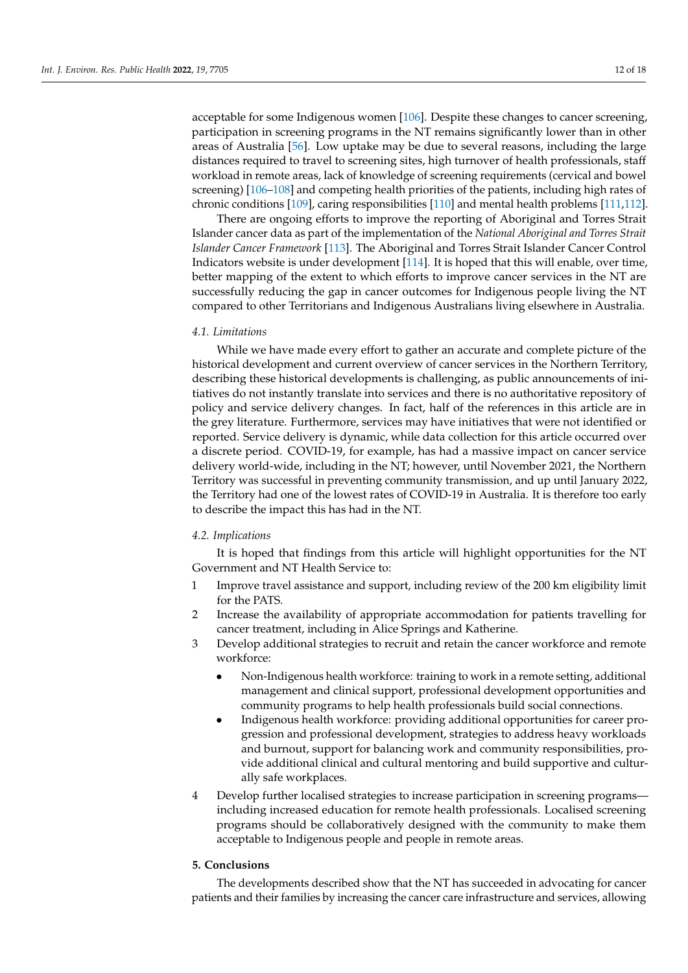acceptable for some Indigenous women [\[106\]](#page-16-17). Despite these changes to cancer screening, participation in screening programs in the NT remains significantly lower than in other areas of Australia [\[56\]](#page-14-22). Low uptake may be due to several reasons, including the large distances required to travel to screening sites, high turnover of health professionals, staff workload in remote areas, lack of knowledge of screening requirements (cervical and bowel screening) [\[106](#page-16-17)[–108\]](#page-16-18) and competing health priorities of the patients, including high rates of chronic conditions [\[109\]](#page-16-19), caring responsibilities [\[110\]](#page-16-20) and mental health problems [\[111](#page-17-0)[,112\]](#page-17-1).

There are ongoing efforts to improve the reporting of Aboriginal and Torres Strait Islander cancer data as part of the implementation of the *National Aboriginal and Torres Strait Islander Cancer Framework* [\[113\]](#page-17-2). The Aboriginal and Torres Strait Islander Cancer Control Indicators website is under development [\[114\]](#page-17-3). It is hoped that this will enable, over time, better mapping of the extent to which efforts to improve cancer services in the NT are successfully reducing the gap in cancer outcomes for Indigenous people living the NT compared to other Territorians and Indigenous Australians living elsewhere in Australia.

## *4.1. Limitations*

While we have made every effort to gather an accurate and complete picture of the historical development and current overview of cancer services in the Northern Territory, describing these historical developments is challenging, as public announcements of initiatives do not instantly translate into services and there is no authoritative repository of policy and service delivery changes. In fact, half of the references in this article are in the grey literature. Furthermore, services may have initiatives that were not identified or reported. Service delivery is dynamic, while data collection for this article occurred over a discrete period. COVID-19, for example, has had a massive impact on cancer service delivery world-wide, including in the NT; however, until November 2021, the Northern Territory was successful in preventing community transmission, and up until January 2022, the Territory had one of the lowest rates of COVID-19 in Australia. It is therefore too early to describe the impact this has had in the NT.

## *4.2. Implications*

It is hoped that findings from this article will highlight opportunities for the NT Government and NT Health Service to:

- 1 Improve travel assistance and support, including review of the 200 km eligibility limit for the PATS.
- 2 Increase the availability of appropriate accommodation for patients travelling for cancer treatment, including in Alice Springs and Katherine.
- 3 Develop additional strategies to recruit and retain the cancer workforce and remote workforce:
	- Non-Indigenous health workforce: training to work in a remote setting, additional management and clinical support, professional development opportunities and community programs to help health professionals build social connections.
	- Indigenous health workforce: providing additional opportunities for career progression and professional development, strategies to address heavy workloads and burnout, support for balancing work and community responsibilities, provide additional clinical and cultural mentoring and build supportive and culturally safe workplaces.
- 4 Develop further localised strategies to increase participation in screening programs including increased education for remote health professionals. Localised screening programs should be collaboratively designed with the community to make them acceptable to Indigenous people and people in remote areas.

## **5. Conclusions**

The developments described show that the NT has succeeded in advocating for cancer patients and their families by increasing the cancer care infrastructure and services, allowing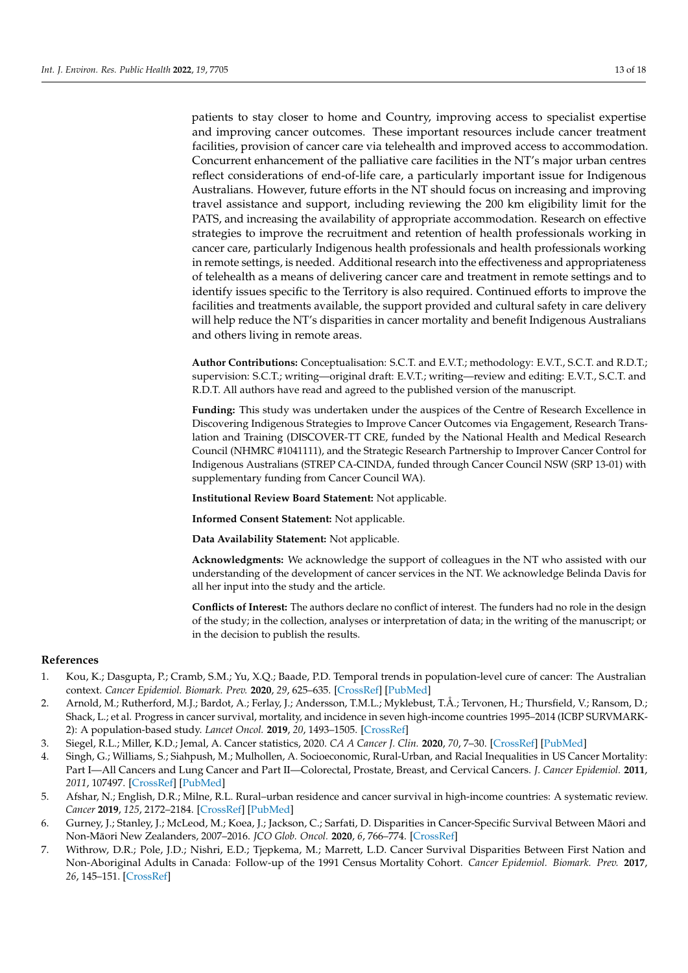patients to stay closer to home and Country, improving access to specialist expertise and improving cancer outcomes. These important resources include cancer treatment facilities, provision of cancer care via telehealth and improved access to accommodation. Concurrent enhancement of the palliative care facilities in the NT's major urban centres reflect considerations of end-of-life care, a particularly important issue for Indigenous Australians. However, future efforts in the NT should focus on increasing and improving travel assistance and support, including reviewing the 200 km eligibility limit for the PATS, and increasing the availability of appropriate accommodation. Research on effective strategies to improve the recruitment and retention of health professionals working in cancer care, particularly Indigenous health professionals and health professionals working in remote settings, is needed. Additional research into the effectiveness and appropriateness of telehealth as a means of delivering cancer care and treatment in remote settings and to identify issues specific to the Territory is also required. Continued efforts to improve the facilities and treatments available, the support provided and cultural safety in care delivery will help reduce the NT's disparities in cancer mortality and benefit Indigenous Australians and others living in remote areas.

**Author Contributions:** Conceptualisation: S.C.T. and E.V.T.; methodology: E.V.T., S.C.T. and R.D.T.; supervision: S.C.T.; writing—original draft: E.V.T.; writing—review and editing: E.V.T., S.C.T. and R.D.T. All authors have read and agreed to the published version of the manuscript.

**Funding:** This study was undertaken under the auspices of the Centre of Research Excellence in Discovering Indigenous Strategies to Improve Cancer Outcomes via Engagement, Research Translation and Training (DISCOVER-TT CRE, funded by the National Health and Medical Research Council (NHMRC #1041111), and the Strategic Research Partnership to Improver Cancer Control for Indigenous Australians (STREP CA-CINDA, funded through Cancer Council NSW (SRP 13-01) with supplementary funding from Cancer Council WA).

**Institutional Review Board Statement:** Not applicable.

**Informed Consent Statement:** Not applicable.

**Data Availability Statement:** Not applicable.

**Acknowledgments:** We acknowledge the support of colleagues in the NT who assisted with our understanding of the development of cancer services in the NT. We acknowledge Belinda Davis for all her input into the study and the article.

**Conflicts of Interest:** The authors declare no conflict of interest. The funders had no role in the design of the study; in the collection, analyses or interpretation of data; in the writing of the manuscript; or in the decision to publish the results.

## **References**

- <span id="page-12-0"></span>1. Kou, K.; Dasgupta, P.; Cramb, S.M.; Yu, X.Q.; Baade, P.D. Temporal trends in population-level cure of cancer: The Australian context. *Cancer Epidemiol. Biomark. Prev.* **2020**, *29*, 625–635. [\[CrossRef\]](http://doi.org/10.1158/1055-9965.EPI-19-0693) [\[PubMed\]](http://www.ncbi.nlm.nih.gov/pubmed/31932416)
- <span id="page-12-3"></span>2. Arnold, M.; Rutherford, M.J.; Bardot, A.; Ferlay, J.; Andersson, T.M.L.; Myklebust, T.Å.; Tervonen, H.; Thursfield, V.; Ransom, D.; Shack, L.; et al. Progress in cancer survival, mortality, and incidence in seven high-income countries 1995–2014 (ICBP SURVMARK-2): A population-based study. *Lancet Oncol.* **2019**, *20*, 1493–1505. [\[CrossRef\]](http://doi.org/10.1016/S1470-2045(19)30456-5)
- <span id="page-12-1"></span>3. Siegel, R.L.; Miller, K.D.; Jemal, A. Cancer statistics, 2020. *CA A Cancer J. Clin.* **2020**, *70*, 7–30. [\[CrossRef\]](http://doi.org/10.3322/caac.21590) [\[PubMed\]](http://www.ncbi.nlm.nih.gov/pubmed/31912902)
- <span id="page-12-2"></span>4. Singh, G.; Williams, S.; Siahpush, M.; Mulhollen, A. Socioeconomic, Rural-Urban, and Racial Inequalities in US Cancer Mortality: Part I—All Cancers and Lung Cancer and Part II—Colorectal, Prostate, Breast, and Cervical Cancers. *J. Cancer Epidemiol.* **2011**, *2011*, 107497. [\[CrossRef\]](http://doi.org/10.1155/2011/107497) [\[PubMed\]](http://www.ncbi.nlm.nih.gov/pubmed/22496688)
- 5. Afshar, N.; English, D.R.; Milne, R.L. Rural–urban residence and cancer survival in high-income countries: A systematic review. *Cancer* **2019**, *125*, 2172–2184. [\[CrossRef\]](http://doi.org/10.1002/cncr.32073) [\[PubMed\]](http://www.ncbi.nlm.nih.gov/pubmed/30933318)
- 6. Gurney, J.; Stanley, J.; McLeod, M.; Koea, J.; Jackson, C.; Sarfati, D. Disparities in Cancer-Specific Survival Between Māori and Non-Māori New Zealanders, 2007–2016. *JCO Glob. Oncol.* 2020, 6, 766–774. [\[CrossRef\]](http://doi.org/10.1200/GO.20.00028)
- 7. Withrow, D.R.; Pole, J.D.; Nishri, E.D.; Tjepkema, M.; Marrett, L.D. Cancer Survival Disparities Between First Nation and Non-Aboriginal Adults in Canada: Follow-up of the 1991 Census Mortality Cohort. *Cancer Epidemiol. Biomark. Prev.* **2017**, *26*, 145–151. [\[CrossRef\]](http://doi.org/10.1158/1055-9965.EPI-16-0706)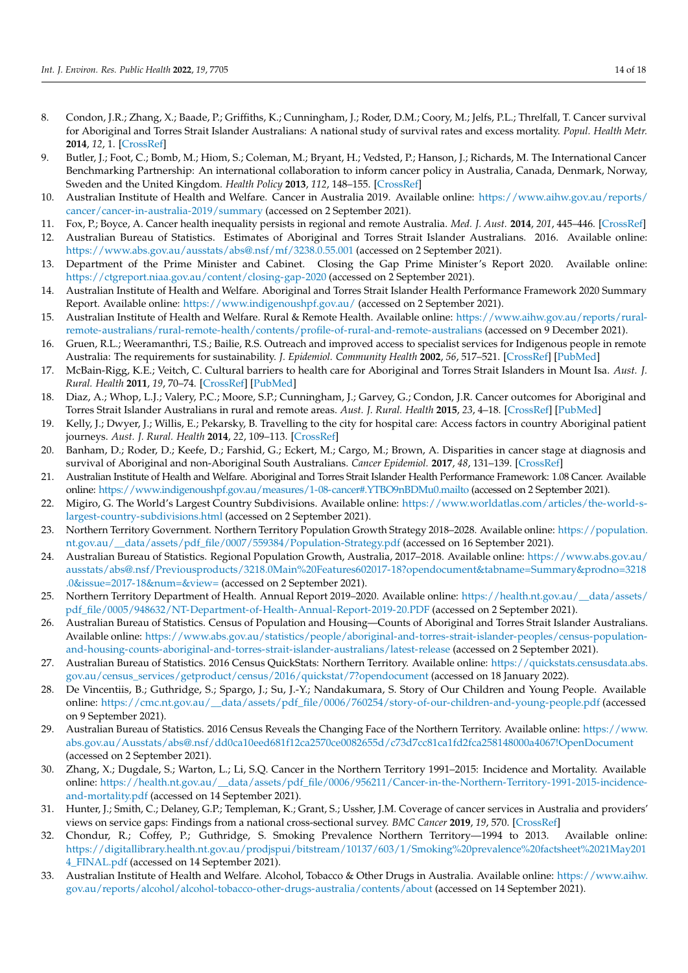- <span id="page-13-0"></span>8. Condon, J.R.; Zhang, X.; Baade, P.; Griffiths, K.; Cunningham, J.; Roder, D.M.; Coory, M.; Jelfs, P.L.; Threlfall, T. Cancer survival for Aboriginal and Torres Strait Islander Australians: A national study of survival rates and excess mortality. *Popul. Health Metr.* **2014**, *12*, 1. [\[CrossRef\]](http://doi.org/10.1186/1478-7954-12-1)
- <span id="page-13-1"></span>9. Butler, J.; Foot, C.; Bomb, M.; Hiom, S.; Coleman, M.; Bryant, H.; Vedsted, P.; Hanson, J.; Richards, M. The International Cancer Benchmarking Partnership: An international collaboration to inform cancer policy in Australia, Canada, Denmark, Norway, Sweden and the United Kingdom. *Health Policy* **2013**, *112*, 148–155. [\[CrossRef\]](http://doi.org/10.1016/j.healthpol.2013.03.021)
- <span id="page-13-2"></span>10. Australian Institute of Health and Welfare. Cancer in Australia 2019. Available online: [https://www.aihw.gov.au/reports/](https://www.aihw.gov.au/reports/cancer/cancer-in-australia-2019/summary) [cancer/cancer-in-australia-2019/summary](https://www.aihw.gov.au/reports/cancer/cancer-in-australia-2019/summary) (accessed on 2 September 2021).
- <span id="page-13-3"></span>11. Fox, P.; Boyce, A. Cancer health inequality persists in regional and remote Australia. *Med. J. Aust.* **2014**, *201*, 445–446. [\[CrossRef\]](http://doi.org/10.5694/mja14.01217)
- <span id="page-13-4"></span>12. Australian Bureau of Statistics. Estimates of Aboriginal and Torres Strait Islander Australians. 2016. Available online: <https://www.abs.gov.au/ausstats/abs@.nsf/mf/3238.0.55.001> (accessed on 2 September 2021).
- <span id="page-13-5"></span>13. Department of the Prime Minister and Cabinet. Closing the Gap Prime Minister's Report 2020. Available online: <https://ctgreport.niaa.gov.au/content/closing-gap-2020> (accessed on 2 September 2021).
- <span id="page-13-6"></span>14. Australian Institute of Health and Welfare. Aboriginal and Torres Strait Islander Health Performance Framework 2020 Summary Report. Available online: <https://www.indigenoushpf.gov.au/> (accessed on 2 September 2021).
- <span id="page-13-7"></span>15. Australian Institute of Health and Welfare. Rural & Remote Health. Available online: [https://www.aihw.gov.au/reports/rural](https://www.aihw.gov.au/reports/rural-remote-australians/rural-remote-health/contents/profile-of-rural-and-remote-australians)[remote-australians/rural-remote-health/contents/profile-of-rural-and-remote-australians](https://www.aihw.gov.au/reports/rural-remote-australians/rural-remote-health/contents/profile-of-rural-and-remote-australians) (accessed on 9 December 2021).
- <span id="page-13-8"></span>16. Gruen, R.L.; Weeramanthri, T.S.; Bailie, R.S. Outreach and improved access to specialist services for Indigenous people in remote Australia: The requirements for sustainability. *J. Epidemiol. Community Health* **2002**, *56*, 517–521. [\[CrossRef\]](http://doi.org/10.1136/jech.56.7.517) [\[PubMed\]](http://www.ncbi.nlm.nih.gov/pubmed/12080159)
- 17. McBain-Rigg, K.E.; Veitch, C. Cultural barriers to health care for Aboriginal and Torres Strait Islanders in Mount Isa. *Aust. J. Rural. Health* **2011**, *19*, 70–74. [\[CrossRef\]](http://doi.org/10.1111/j.1440-1584.2011.01186.x) [\[PubMed\]](http://www.ncbi.nlm.nih.gov/pubmed/21438948)
- 18. Diaz, A.; Whop, L.J.; Valery, P.C.; Moore, S.P.; Cunningham, J.; Garvey, G.; Condon, J.R. Cancer outcomes for Aboriginal and Torres Strait Islander Australians in rural and remote areas. *Aust. J. Rural. Health* **2015**, *23*, 4–18. [\[CrossRef\]](http://doi.org/10.1111/ajr.12169) [\[PubMed\]](http://www.ncbi.nlm.nih.gov/pubmed/25689378)
- <span id="page-13-9"></span>19. Kelly, J.; Dwyer, J.; Willis, E.; Pekarsky, B. Travelling to the city for hospital care: Access factors in country Aboriginal patient journeys. *Aust. J. Rural. Health* **2014**, *22*, 109–113. [\[CrossRef\]](http://doi.org/10.1111/ajr.12094)
- <span id="page-13-10"></span>20. Banham, D.; Roder, D.; Keefe, D.; Farshid, G.; Eckert, M.; Cargo, M.; Brown, A. Disparities in cancer stage at diagnosis and survival of Aboriginal and non-Aboriginal South Australians. *Cancer Epidemiol.* **2017**, *48*, 131–139. [\[CrossRef\]](http://doi.org/10.1016/j.canep.2017.04.013)
- <span id="page-13-11"></span>21. Australian Institute of Health and Welfare. Aboriginal and Torres Strait Islander Health Performance Framework: 1.08 Cancer. Available online: <https://www.indigenoushpf.gov.au/measures/1-08-cancer#.YTBO9nBDMu0.mailto> (accessed on 2 September 2021).
- <span id="page-13-12"></span>22. Migiro, G. The World's Largest Country Subdivisions. Available online: [https://www.worldatlas.com/articles/the-world-s](https://www.worldatlas.com/articles/the-world-s-largest-country-subdivisions.html)[largest-country-subdivisions.html](https://www.worldatlas.com/articles/the-world-s-largest-country-subdivisions.html) (accessed on 2 September 2021).
- <span id="page-13-13"></span>23. Northern Territory Government. Northern Territory Population Growth Strategy 2018–2028. Available online: [https://population.](https://population.nt.gov.au/__data/assets/pdf_file/0007/559384/Population-Strategy.pdf) [nt.gov.au/\\_\\_data/assets/pdf\\_file/0007/559384/Population-Strategy.pdf](https://population.nt.gov.au/__data/assets/pdf_file/0007/559384/Population-Strategy.pdf) (accessed on 16 September 2021).
- <span id="page-13-14"></span>24. Australian Bureau of Statistics. Regional Population Growth, Australia, 2017–2018. Available online: [https://www.abs.gov.au/](https://www.abs.gov.au/ausstats/abs@.nsf/Previousproducts/3218.0Main%20Features602017-18?opendocument&tabname=Summary&prodno=3218.0&issue=2017-18&num=&view=) [ausstats/abs@.nsf/Previousproducts/3218.0Main%20Features602017-18?opendocument&tabname=Summary&prodno=3218](https://www.abs.gov.au/ausstats/abs@.nsf/Previousproducts/3218.0Main%20Features602017-18?opendocument&tabname=Summary&prodno=3218.0&issue=2017-18&num=&view=) [.0&issue=2017-18&num=&view=](https://www.abs.gov.au/ausstats/abs@.nsf/Previousproducts/3218.0Main%20Features602017-18?opendocument&tabname=Summary&prodno=3218.0&issue=2017-18&num=&view=) (accessed on 2 September 2021).
- <span id="page-13-15"></span>25. Northern Territory Department of Health. Annual Report 2019–2020. Available online: [https://health.nt.gov.au/\\_\\_data/assets/](https://health.nt.gov.au/__data/assets/pdf_file/0005/948632/NT-Department-of-Health-Annual-Report-2019-20.PDF) [pdf\\_file/0005/948632/NT-Department-of-Health-Annual-Report-2019-20.PDF](https://health.nt.gov.au/__data/assets/pdf_file/0005/948632/NT-Department-of-Health-Annual-Report-2019-20.PDF) (accessed on 2 September 2021).
- <span id="page-13-16"></span>26. Australian Bureau of Statistics. Census of Population and Housing—Counts of Aboriginal and Torres Strait Islander Australians. Available online: [https://www.abs.gov.au/statistics/people/aboriginal-and-torres-strait-islander-peoples/census-population](https://www.abs.gov.au/statistics/people/aboriginal-and-torres-strait-islander-peoples/census-population-and-housing-counts-aboriginal-and-torres-strait-islander-australians/latest-release)[and-housing-counts-aboriginal-and-torres-strait-islander-australians/latest-release](https://www.abs.gov.au/statistics/people/aboriginal-and-torres-strait-islander-peoples/census-population-and-housing-counts-aboriginal-and-torres-strait-islander-australians/latest-release) (accessed on 2 September 2021).
- <span id="page-13-17"></span>27. Australian Bureau of Statistics. 2016 Census QuickStats: Northern Territory. Available online: [https://quickstats.censusdata.abs.](https://quickstats.censusdata.abs.gov.au/census_services/getproduct/census/2016/quickstat/7?opendocument) [gov.au/census\\_services/getproduct/census/2016/quickstat/7?opendocument](https://quickstats.censusdata.abs.gov.au/census_services/getproduct/census/2016/quickstat/7?opendocument) (accessed on 18 January 2022).
- <span id="page-13-18"></span>28. De Vincentiis, B.; Guthridge, S.; Spargo, J.; Su, J.-Y.; Nandakumara, S. Story of Our Children and Young People. Available online: [https://cmc.nt.gov.au/\\_\\_data/assets/pdf\\_file/0006/760254/story-of-our-children-and-young-people.pdf](https://cmc.nt.gov.au/__data/assets/pdf_file/0006/760254/story-of-our-children-and-young-people.pdf) (accessed on 9 September 2021).
- <span id="page-13-19"></span>29. Australian Bureau of Statistics. 2016 Census Reveals the Changing Face of the Northern Territory. Available online: [https://www.](https://www.abs.gov.au/Ausstats/abs@.nsf/dd0ca10eed681f12ca2570ce0082655d/c73d7cc81ca1fd2fca258148000a4067!OpenDocument) [abs.gov.au/Ausstats/abs@.nsf/dd0ca10eed681f12ca2570ce0082655d/c73d7cc81ca1fd2fca258148000a4067!OpenDocument](https://www.abs.gov.au/Ausstats/abs@.nsf/dd0ca10eed681f12ca2570ce0082655d/c73d7cc81ca1fd2fca258148000a4067!OpenDocument) (accessed on 2 September 2021).
- <span id="page-13-20"></span>30. Zhang, X.; Dugdale, S.; Warton, L.; Li, S.Q. Cancer in the Northern Territory 1991–2015: Incidence and Mortality. Available online: [https://health.nt.gov.au/\\_\\_data/assets/pdf\\_file/0006/956211/Cancer-in-the-Northern-Territory-1991-2015-incidence](https://health.nt.gov.au/__data/assets/pdf_file/0006/956211/Cancer-in-the-Northern-Territory-1991-2015-incidence-and-mortality.pdf)[and-mortality.pdf](https://health.nt.gov.au/__data/assets/pdf_file/0006/956211/Cancer-in-the-Northern-Territory-1991-2015-incidence-and-mortality.pdf) (accessed on 14 September 2021).
- <span id="page-13-21"></span>31. Hunter, J.; Smith, C.; Delaney, G.P.; Templeman, K.; Grant, S.; Ussher, J.M. Coverage of cancer services in Australia and providers' views on service gaps: Findings from a national cross-sectional survey. *BMC Cancer* **2019**, *19*, 570. [\[CrossRef\]](http://doi.org/10.1186/s12885-019-5649-6)
- <span id="page-13-22"></span>32. Chondur, R.; Coffey, P.; Guthridge, S. Smoking Prevalence Northern Territory—1994 to 2013. Available online: [https://digitallibrary.health.nt.gov.au/prodjspui/bitstream/10137/603/1/Smoking%20prevalence%20factsheet%2021May201](https://digitallibrary.health.nt.gov.au/prodjspui/bitstream/10137/603/1/Smoking%20prevalence%20factsheet%2021May2014_FINAL.pdf) [4\\_FINAL.pdf](https://digitallibrary.health.nt.gov.au/prodjspui/bitstream/10137/603/1/Smoking%20prevalence%20factsheet%2021May2014_FINAL.pdf) (accessed on 14 September 2021).
- <span id="page-13-23"></span>33. Australian Institute of Health and Welfare. Alcohol, Tobacco & Other Drugs in Australia. Available online: [https://www.aihw.](https://www.aihw.gov.au/reports/alcohol/alcohol-tobacco-other-drugs-australia/contents/about) [gov.au/reports/alcohol/alcohol-tobacco-other-drugs-australia/contents/about](https://www.aihw.gov.au/reports/alcohol/alcohol-tobacco-other-drugs-australia/contents/about) (accessed on 14 September 2021).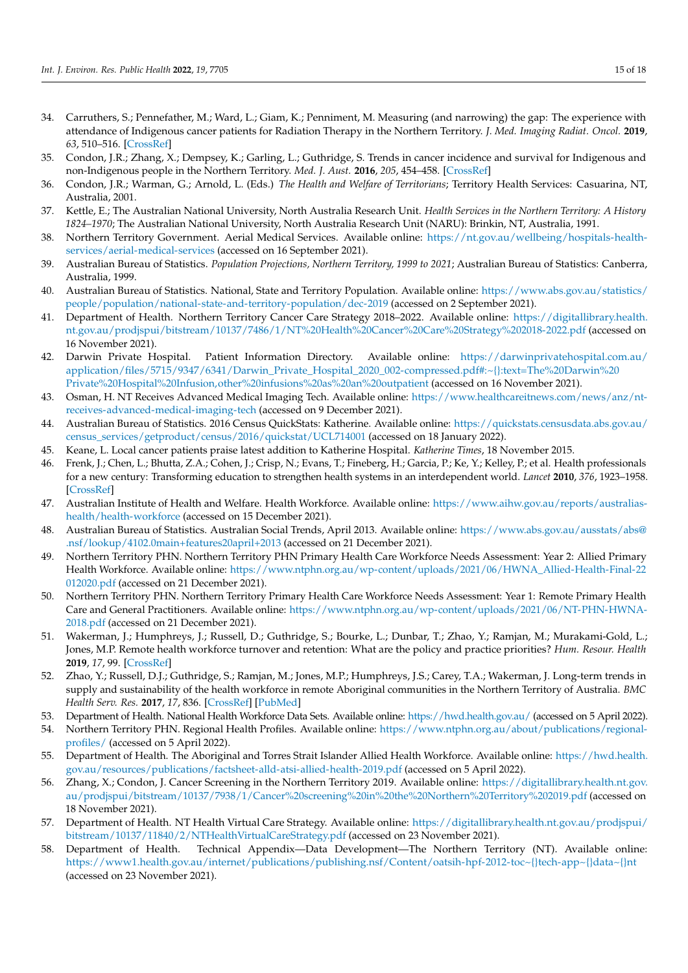- <span id="page-14-0"></span>34. Carruthers, S.; Pennefather, M.; Ward, L.; Giam, K.; Penniment, M. Measuring (and narrowing) the gap: The experience with attendance of Indigenous cancer patients for Radiation Therapy in the Northern Territory. *J. Med. Imaging Radiat. Oncol.* **2019**, *63*, 510–516. [\[CrossRef\]](http://doi.org/10.1111/1754-9485.12887)
- <span id="page-14-1"></span>35. Condon, J.R.; Zhang, X.; Dempsey, K.; Garling, L.; Guthridge, S. Trends in cancer incidence and survival for Indigenous and non-Indigenous people in the Northern Territory. *Med. J. Aust.* **2016**, *205*, 454–458. [\[CrossRef\]](http://doi.org/10.5694/mja16.00588)
- <span id="page-14-2"></span>36. Condon, J.R.; Warman, G.; Arnold, L. (Eds.) *The Health and Welfare of Territorians*; Territory Health Services: Casuarina, NT, Australia, 2001.
- <span id="page-14-3"></span>37. Kettle, E.; The Australian National University, North Australia Research Unit. *Health Services in the Northern Territory: A History 1824–1970*; The Australian National University, North Australia Research Unit (NARU): Brinkin, NT, Australia, 1991.
- <span id="page-14-4"></span>38. Northern Territory Government. Aerial Medical Services. Available online: [https://nt.gov.au/wellbeing/hospitals-health](https://nt.gov.au/wellbeing/hospitals-health-services/aerial-medical-services)[services/aerial-medical-services](https://nt.gov.au/wellbeing/hospitals-health-services/aerial-medical-services) (accessed on 16 September 2021).
- <span id="page-14-5"></span>39. Australian Bureau of Statistics. *Population Projections, Northern Territory, 1999 to 2021*; Australian Bureau of Statistics: Canberra, Australia, 1999.
- <span id="page-14-6"></span>40. Australian Bureau of Statistics. National, State and Territory Population. Available online: [https://www.abs.gov.au/statistics/](https://www.abs.gov.au/statistics/people/population/national-state-and-territory-population/dec-2019) [people/population/national-state-and-territory-population/dec-2019](https://www.abs.gov.au/statistics/people/population/national-state-and-territory-population/dec-2019) (accessed on 2 September 2021).
- <span id="page-14-7"></span>41. Department of Health. Northern Territory Cancer Care Strategy 2018–2022. Available online: [https://digitallibrary.health.](https://digitallibrary.health.nt.gov.au/prodjspui/bitstream/10137/7486/1/NT%20Health%20Cancer%20Care%20Strategy%202018-2022.pdf) [nt.gov.au/prodjspui/bitstream/10137/7486/1/NT%20Health%20Cancer%20Care%20Strategy%202018-2022.pdf](https://digitallibrary.health.nt.gov.au/prodjspui/bitstream/10137/7486/1/NT%20Health%20Cancer%20Care%20Strategy%202018-2022.pdf) (accessed on 16 November 2021).
- <span id="page-14-8"></span>42. Darwin Private Hospital. Patient Information Directory. Available online: [https://darwinprivatehospital.com.au/](https://darwinprivatehospital.com.au/application/files/5715/9347/6341/Darwin_Private_Hospital_2020_002-compressed.pdf#:~{}:text=The%20Darwin%20Private%20Hospital%20Infusion,other%20infusions%20as%20an%20outpatient) [application/files/5715/9347/6341/Darwin\\_Private\\_Hospital\\_2020\\_002-compressed.pdf#:~{}:text=The%20Darwin%20](https://darwinprivatehospital.com.au/application/files/5715/9347/6341/Darwin_Private_Hospital_2020_002-compressed.pdf#:~{}:text=The%20Darwin%20Private%20Hospital%20Infusion,other%20infusions%20as%20an%20outpatient) [Private%20Hospital%20Infusion,other%20infusions%20as%20an%20outpatient](https://darwinprivatehospital.com.au/application/files/5715/9347/6341/Darwin_Private_Hospital_2020_002-compressed.pdf#:~{}:text=The%20Darwin%20Private%20Hospital%20Infusion,other%20infusions%20as%20an%20outpatient) (accessed on 16 November 2021).
- <span id="page-14-9"></span>43. Osman, H. NT Receives Advanced Medical Imaging Tech. Available online: [https://www.healthcareitnews.com/news/anz/nt](https://www.healthcareitnews.com/news/anz/nt-receives-advanced-medical-imaging-tech)[receives-advanced-medical-imaging-tech](https://www.healthcareitnews.com/news/anz/nt-receives-advanced-medical-imaging-tech) (accessed on 9 December 2021).
- <span id="page-14-10"></span>44. Australian Bureau of Statistics. 2016 Census QuickStats: Katherine. Available online: [https://quickstats.censusdata.abs.gov.au/](https://quickstats.censusdata.abs.gov.au/census_services/getproduct/census/2016/quickstat/UCL714001) [census\\_services/getproduct/census/2016/quickstat/UCL714001](https://quickstats.censusdata.abs.gov.au/census_services/getproduct/census/2016/quickstat/UCL714001) (accessed on 18 January 2022).
- <span id="page-14-11"></span>45. Keane, L. Local cancer patients praise latest addition to Katherine Hospital. *Katherine Times*, 18 November 2015.
- <span id="page-14-12"></span>46. Frenk, J.; Chen, L.; Bhutta, Z.A.; Cohen, J.; Crisp, N.; Evans, T.; Fineberg, H.; Garcia, P.; Ke, Y.; Kelley, P.; et al. Health professionals for a new century: Transforming education to strengthen health systems in an interdependent world. *Lancet* **2010**, *376*, 1923–1958. [\[CrossRef\]](http://doi.org/10.1016/S0140-6736(10)61854-5)
- <span id="page-14-13"></span>47. Australian Institute of Health and Welfare. Health Workforce. Available online: [https://www.aihw.gov.au/reports/australias](https://www.aihw.gov.au/reports/australias-health/health-workforce)[health/health-workforce](https://www.aihw.gov.au/reports/australias-health/health-workforce) (accessed on 15 December 2021).
- <span id="page-14-14"></span>48. Australian Bureau of Statistics. Australian Social Trends, April 2013. Available online: [https://www.abs.gov.au/ausstats/abs@](https://www.abs.gov.au/ausstats/abs@.nsf/lookup/4102.0main+features20april+2013) [.nsf/lookup/4102.0main+features20april+2013](https://www.abs.gov.au/ausstats/abs@.nsf/lookup/4102.0main+features20april+2013) (accessed on 21 December 2021).
- <span id="page-14-15"></span>49. Northern Territory PHN. Northern Territory PHN Primary Health Care Workforce Needs Assessment: Year 2: Allied Primary Health Workforce. Available online: [https://www.ntphn.org.au/wp-content/uploads/2021/06/HWNA\\_Allied-Health-Final-22](https://www.ntphn.org.au/wp-content/uploads/2021/06/HWNA_Allied-Health-Final-22012020.pdf) [012020.pdf](https://www.ntphn.org.au/wp-content/uploads/2021/06/HWNA_Allied-Health-Final-22012020.pdf) (accessed on 21 December 2021).
- <span id="page-14-17"></span>50. Northern Territory PHN. Northern Territory Primary Health Care Workforce Needs Assessment: Year 1: Remote Primary Health Care and General Practitioners. Available online: [https://www.ntphn.org.au/wp-content/uploads/2021/06/NT-PHN-HWNA-](https://www.ntphn.org.au/wp-content/uploads/2021/06/NT-PHN-HWNA-2018.pdf)[2018.pdf](https://www.ntphn.org.au/wp-content/uploads/2021/06/NT-PHN-HWNA-2018.pdf) (accessed on 21 December 2021).
- <span id="page-14-16"></span>51. Wakerman, J.; Humphreys, J.; Russell, D.; Guthridge, S.; Bourke, L.; Dunbar, T.; Zhao, Y.; Ramjan, M.; Murakami-Gold, L.; Jones, M.P. Remote health workforce turnover and retention: What are the policy and practice priorities? *Hum. Resour. Health* **2019**, *17*, 99. [\[CrossRef\]](http://doi.org/10.1186/s12960-019-0432-y)
- <span id="page-14-18"></span>52. Zhao, Y.; Russell, D.J.; Guthridge, S.; Ramjan, M.; Jones, M.P.; Humphreys, J.S.; Carey, T.A.; Wakerman, J. Long-term trends in supply and sustainability of the health workforce in remote Aboriginal communities in the Northern Territory of Australia. *BMC Health Serv. Res.* **2017**, *17*, 836. [\[CrossRef\]](http://doi.org/10.1186/s12913-017-2803-1) [\[PubMed\]](http://www.ncbi.nlm.nih.gov/pubmed/29258521)
- <span id="page-14-19"></span>53. Department of Health. National Health Workforce Data Sets. Available online: <https://hwd.health.gov.au/> (accessed on 5 April 2022).
- <span id="page-14-20"></span>54. Northern Territory PHN. Regional Health Profiles. Available online: [https://www.ntphn.org.au/about/publications/regional](https://www.ntphn.org.au/about/publications/regional-profiles/)[profiles/](https://www.ntphn.org.au/about/publications/regional-profiles/) (accessed on 5 April 2022).
- <span id="page-14-21"></span>55. Department of Health. The Aboriginal and Torres Strait Islander Allied Health Workforce. Available online: [https://hwd.health.](https://hwd.health.gov.au/resources/publications/factsheet-alld-atsi-allied-health-2019.pdf) [gov.au/resources/publications/factsheet-alld-atsi-allied-health-2019.pdf](https://hwd.health.gov.au/resources/publications/factsheet-alld-atsi-allied-health-2019.pdf) (accessed on 5 April 2022).
- <span id="page-14-22"></span>56. Zhang, X.; Condon, J. Cancer Screening in the Northern Territory 2019. Available online: [https://digitallibrary.health.nt.gov.](https://digitallibrary.health.nt.gov.au/prodjspui/bitstream/10137/7938/1/Cancer%20screening%20in%20the%20Northern%20Territory%202019.pdf) [au/prodjspui/bitstream/10137/7938/1/Cancer%20screening%20in%20the%20Northern%20Territory%202019.pdf](https://digitallibrary.health.nt.gov.au/prodjspui/bitstream/10137/7938/1/Cancer%20screening%20in%20the%20Northern%20Territory%202019.pdf) (accessed on 18 November 2021).
- <span id="page-14-23"></span>57. Department of Health. NT Health Virtual Care Strategy. Available online: [https://digitallibrary.health.nt.gov.au/prodjspui/](https://digitallibrary.health.nt.gov.au/prodjspui/bitstream/10137/11840/2/NTHealthVirtualCareStrategy.pdf) [bitstream/10137/11840/2/NTHealthVirtualCareStrategy.pdf](https://digitallibrary.health.nt.gov.au/prodjspui/bitstream/10137/11840/2/NTHealthVirtualCareStrategy.pdf) (accessed on 23 November 2021).
- <span id="page-14-24"></span>58. Department of Health. Technical Appendix—Data Development—The Northern Territory (NT). Available online: <https://www1.health.gov.au/internet/publications/publishing.nsf/Content/oatsih-hpf-2012-toc~{}tech-app~{}data~{}nt> (accessed on 23 November 2021).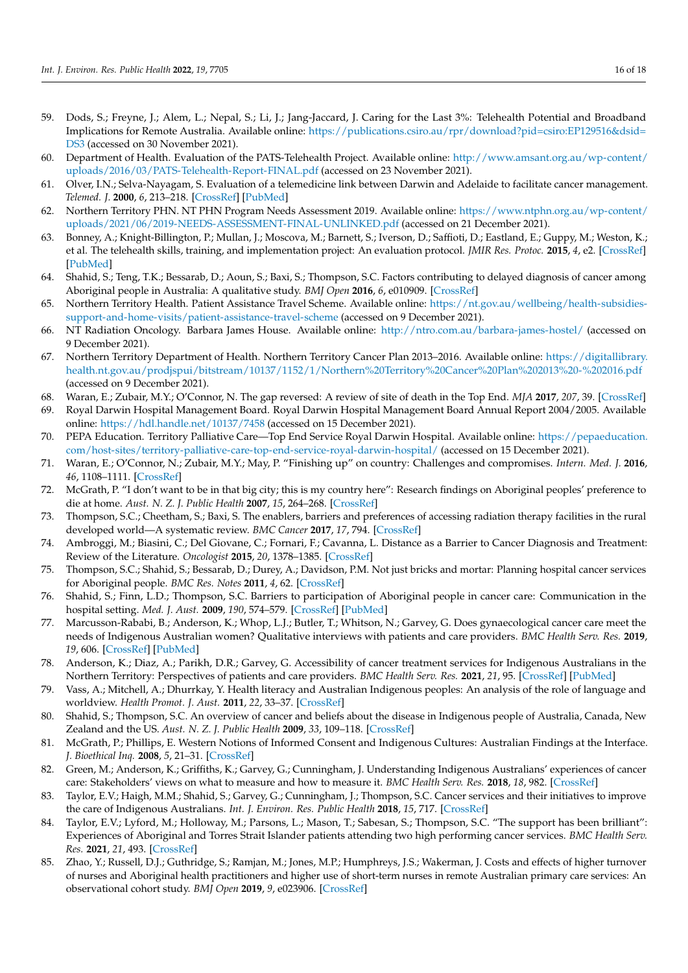- <span id="page-15-0"></span>59. Dods, S.; Freyne, J.; Alem, L.; Nepal, S.; Li, J.; Jang-Jaccard, J. Caring for the Last 3%: Telehealth Potential and Broadband Implications for Remote Australia. Available online: [https://publications.csiro.au/rpr/download?pid=csiro:EP129516&dsid=](https://publications.csiro.au/rpr/download?pid=csiro:EP129516&dsid=DS3) [DS3](https://publications.csiro.au/rpr/download?pid=csiro:EP129516&dsid=DS3) (accessed on 30 November 2021).
- <span id="page-15-1"></span>60. Department of Health. Evaluation of the PATS-Telehealth Project. Available online: [http://www.amsant.org.au/wp-content/](http://www.amsant.org.au/wp-content/uploads/2016/03/PATS-Telehealth-Report-FINAL.pdf) [uploads/2016/03/PATS-Telehealth-Report-FINAL.pdf](http://www.amsant.org.au/wp-content/uploads/2016/03/PATS-Telehealth-Report-FINAL.pdf) (accessed on 23 November 2021).
- <span id="page-15-2"></span>61. Olver, I.N.; Selva-Nayagam, S. Evaluation of a telemedicine link between Darwin and Adelaide to facilitate cancer management. *Telemed. J.* **2000**, *6*, 213–218. [\[CrossRef\]](http://doi.org/10.1089/107830200415144) [\[PubMed\]](http://www.ncbi.nlm.nih.gov/pubmed/10957733)
- <span id="page-15-3"></span>62. Northern Territory PHN. NT PHN Program Needs Assessment 2019. Available online: [https://www.ntphn.org.au/wp-content/](https://www.ntphn.org.au/wp-content/uploads/2021/06/2019-NEEDS-ASSESSMENT-FINAL-UNLINKED.pdf) [uploads/2021/06/2019-NEEDS-ASSESSMENT-FINAL-UNLINKED.pdf](https://www.ntphn.org.au/wp-content/uploads/2021/06/2019-NEEDS-ASSESSMENT-FINAL-UNLINKED.pdf) (accessed on 21 December 2021).
- <span id="page-15-4"></span>63. Bonney, A.; Knight-Billington, P.; Mullan, J.; Moscova, M.; Barnett, S.; Iverson, D.; Saffioti, D.; Eastland, E.; Guppy, M.; Weston, K.; et al. The telehealth skills, training, and implementation project: An evaluation protocol. *JMIR Res. Protoc.* **2015**, *4*, e2. [\[CrossRef\]](http://doi.org/10.2196/resprot.3613) [\[PubMed\]](http://www.ncbi.nlm.nih.gov/pubmed/25567780)
- <span id="page-15-5"></span>64. Shahid, S.; Teng, T.K.; Bessarab, D.; Aoun, S.; Baxi, S.; Thompson, S.C. Factors contributing to delayed diagnosis of cancer among Aboriginal people in Australia: A qualitative study. *BMJ Open* **2016**, *6*, e010909. [\[CrossRef\]](http://doi.org/10.1136/bmjopen-2015-010909)
- <span id="page-15-6"></span>65. Northern Territory Health. Patient Assistance Travel Scheme. Available online: [https://nt.gov.au/wellbeing/health-subsidies](https://nt.gov.au/wellbeing/health-subsidies-support-and-home-visits/patient-assistance-travel-scheme)[support-and-home-visits/patient-assistance-travel-scheme](https://nt.gov.au/wellbeing/health-subsidies-support-and-home-visits/patient-assistance-travel-scheme) (accessed on 9 December 2021).
- <span id="page-15-7"></span>66. NT Radiation Oncology. Barbara James House. Available online: <http://ntro.com.au/barbara-james-hostel/> (accessed on 9 December 2021).
- <span id="page-15-8"></span>67. Northern Territory Department of Health. Northern Territory Cancer Plan 2013–2016. Available online: [https://digitallibrary.](https://digitallibrary.health.nt.gov.au/prodjspui/bitstream/10137/1152/1/Northern%20Territory%20Cancer%20Plan%202013%20-%202016.pdf) [health.nt.gov.au/prodjspui/bitstream/10137/1152/1/Northern%20Territory%20Cancer%20Plan%202013%20-%202016.pdf](https://digitallibrary.health.nt.gov.au/prodjspui/bitstream/10137/1152/1/Northern%20Territory%20Cancer%20Plan%202013%20-%202016.pdf) (accessed on 9 December 2021).
- <span id="page-15-9"></span>68. Waran, E.; Zubair, M.Y.; O'Connor, N. The gap reversed: A review of site of death in the Top End. *MJA* **2017**, *207*, 39. [\[CrossRef\]](http://doi.org/10.5694/mja17.00354)
- <span id="page-15-10"></span>69. Royal Darwin Hospital Management Board. Royal Darwin Hospital Management Board Annual Report 2004/2005. Available online: <https://hdl.handle.net/10137/7458> (accessed on 15 December 2021).
- <span id="page-15-11"></span>70. PEPA Education. Territory Palliative Care—Top End Service Royal Darwin Hospital. Available online: [https://pepaeducation.](https://pepaeducation.com/host-sites/territory-palliative-care-top-end-service-royal-darwin-hospital/) [com/host-sites/territory-palliative-care-top-end-service-royal-darwin-hospital/](https://pepaeducation.com/host-sites/territory-palliative-care-top-end-service-royal-darwin-hospital/) (accessed on 15 December 2021).
- <span id="page-15-12"></span>71. Waran, E.; O'Connor, N.; Zubair, M.Y.; May, P. "Finishing up" on country: Challenges and compromises. *Intern. Med. J.* **2016**, *46*, 1108–1111. [\[CrossRef\]](http://doi.org/10.1111/imj.13186)
- <span id="page-15-13"></span>72. McGrath, P. "I don't want to be in that big city; this is my country here": Research findings on Aboriginal peoples' preference to die at home. *Aust. N. Z. J. Public Health* **2007**, *15*, 264–268. [\[CrossRef\]](http://doi.org/10.1111/j.1440-1584.2007.00904.x)
- <span id="page-15-14"></span>73. Thompson, S.C.; Cheetham, S.; Baxi, S. The enablers, barriers and preferences of accessing radiation therapy facilities in the rural developed world—A systematic review. *BMC Cancer* **2017**, *17*, 794. [\[CrossRef\]](http://doi.org/10.1186/s12885-017-3790-7)
- <span id="page-15-15"></span>74. Ambroggi, M.; Biasini, C.; Del Giovane, C.; Fornari, F.; Cavanna, L. Distance as a Barrier to Cancer Diagnosis and Treatment: Review of the Literature. *Oncologist* **2015**, *20*, 1378–1385. [\[CrossRef\]](http://doi.org/10.1634/theoncologist.2015-0110)
- <span id="page-15-16"></span>75. Thompson, S.C.; Shahid, S.; Bessarab, D.; Durey, A.; Davidson, P.M. Not just bricks and mortar: Planning hospital cancer services for Aboriginal people. *BMC Res. Notes* **2011**, *4*, 62. [\[CrossRef\]](http://doi.org/10.1186/1756-0500-4-62)
- <span id="page-15-17"></span>76. Shahid, S.; Finn, L.D.; Thompson, S.C. Barriers to participation of Aboriginal people in cancer care: Communication in the hospital setting. *Med. J. Aust.* **2009**, *190*, 574–579. [\[CrossRef\]](http://doi.org/10.5694/j.1326-5377.2009.tb02569.x) [\[PubMed\]](http://www.ncbi.nlm.nih.gov/pubmed/19450207)
- <span id="page-15-18"></span>77. Marcusson-Rababi, B.; Anderson, K.; Whop, L.J.; Butler, T.; Whitson, N.; Garvey, G. Does gynaecological cancer care meet the needs of Indigenous Australian women? Qualitative interviews with patients and care providers. *BMC Health Serv. Res.* **2019**, *19*, 606. [\[CrossRef\]](http://doi.org/10.1186/s12913-019-4455-9) [\[PubMed\]](http://www.ncbi.nlm.nih.gov/pubmed/31464615)
- <span id="page-15-19"></span>78. Anderson, K.; Diaz, A.; Parikh, D.R.; Garvey, G. Accessibility of cancer treatment services for Indigenous Australians in the Northern Territory: Perspectives of patients and care providers. *BMC Health Serv. Res.* **2021**, *21*, 95. [\[CrossRef\]](http://doi.org/10.1186/s12913-021-06066-3) [\[PubMed\]](http://www.ncbi.nlm.nih.gov/pubmed/33509170)
- <span id="page-15-20"></span>79. Vass, A.; Mitchell, A.; Dhurrkay, Y. Health literacy and Australian Indigenous peoples: An analysis of the role of language and worldview. *Health Promot. J. Aust.* **2011**, *22*, 33–37. [\[CrossRef\]](http://doi.org/10.1071/HE11033)
- 80. Shahid, S.; Thompson, S.C. An overview of cancer and beliefs about the disease in Indigenous people of Australia, Canada, New Zealand and the US. *Aust. N. Z. J. Public Health* **2009**, *33*, 109–118. [\[CrossRef\]](http://doi.org/10.1111/j.1753-6405.2009.00355.x)
- 81. McGrath, P.; Phillips, E. Western Notions of Informed Consent and Indigenous Cultures: Australian Findings at the Interface. *J. Bioethical Inq.* **2008**, *5*, 21–31. [\[CrossRef\]](http://doi.org/10.1007/s11673-008-9085-6)
- <span id="page-15-21"></span>82. Green, M.; Anderson, K.; Griffiths, K.; Garvey, G.; Cunningham, J. Understanding Indigenous Australians' experiences of cancer care: Stakeholders' views on what to measure and how to measure it. *BMC Health Serv. Res.* **2018**, *18*, 982. [\[CrossRef\]](http://doi.org/10.1186/s12913-018-3780-8)
- <span id="page-15-22"></span>83. Taylor, E.V.; Haigh, M.M.; Shahid, S.; Garvey, G.; Cunningham, J.; Thompson, S.C. Cancer services and their initiatives to improve the care of Indigenous Australians. *Int. J. Environ. Res. Public Health* **2018**, *15*, 717. [\[CrossRef\]](http://doi.org/10.3390/ijerph15040717)
- <span id="page-15-23"></span>84. Taylor, E.V.; Lyford, M.; Holloway, M.; Parsons, L.; Mason, T.; Sabesan, S.; Thompson, S.C. "The support has been brilliant": Experiences of Aboriginal and Torres Strait Islander patients attending two high performing cancer services. *BMC Health Serv. Res.* **2021**, *21*, 493. [\[CrossRef\]](http://doi.org/10.1186/s12913-021-06535-9)
- <span id="page-15-24"></span>85. Zhao, Y.; Russell, D.J.; Guthridge, S.; Ramjan, M.; Jones, M.P.; Humphreys, J.S.; Wakerman, J. Costs and effects of higher turnover of nurses and Aboriginal health practitioners and higher use of short-term nurses in remote Australian primary care services: An observational cohort study. *BMJ Open* **2019**, *9*, e023906. [\[CrossRef\]](http://doi.org/10.1136/bmjopen-2018-023906)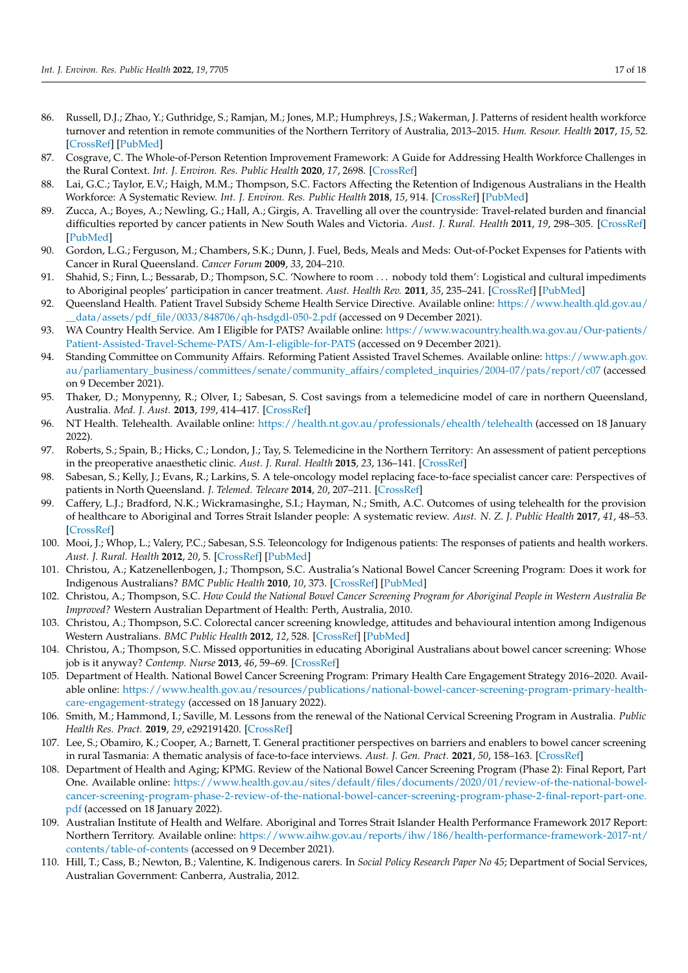- <span id="page-16-0"></span>86. Russell, D.J.; Zhao, Y.; Guthridge, S.; Ramjan, M.; Jones, M.P.; Humphreys, J.S.; Wakerman, J. Patterns of resident health workforce turnover and retention in remote communities of the Northern Territory of Australia, 2013–2015. *Hum. Resour. Health* **2017**, *15*, 52. [\[CrossRef\]](http://doi.org/10.1186/s12960-017-0229-9) [\[PubMed\]](http://www.ncbi.nlm.nih.gov/pubmed/28810919)
- <span id="page-16-1"></span>87. Cosgrave, C. The Whole-of-Person Retention Improvement Framework: A Guide for Addressing Health Workforce Challenges in the Rural Context. *Int. J. Environ. Res. Public Health* **2020**, *17*, 2698. [\[CrossRef\]](http://doi.org/10.3390/ijerph17082698)
- <span id="page-16-2"></span>88. Lai, G.C.; Taylor, E.V.; Haigh, M.M.; Thompson, S.C. Factors Affecting the Retention of Indigenous Australians in the Health Workforce: A Systematic Review. *Int. J. Environ. Res. Public Health* **2018**, *15*, 914. [\[CrossRef\]](http://doi.org/10.3390/ijerph15050914) [\[PubMed\]](http://www.ncbi.nlm.nih.gov/pubmed/29734679)
- <span id="page-16-3"></span>89. Zucca, A.; Boyes, A.; Newling, G.; Hall, A.; Girgis, A. Travelling all over the countryside: Travel-related burden and financial difficulties reported by cancer patients in New South Wales and Victoria. *Aust. J. Rural. Health* **2011**, *19*, 298–305. [\[CrossRef\]](http://doi.org/10.1111/j.1440-1584.2011.01232.x) [\[PubMed\]](http://www.ncbi.nlm.nih.gov/pubmed/22098213)
- <span id="page-16-5"></span>90. Gordon, L.G.; Ferguson, M.; Chambers, S.K.; Dunn, J. Fuel, Beds, Meals and Meds: Out-of-Pocket Expenses for Patients with Cancer in Rural Queensland. *Cancer Forum* **2009**, *33*, 204–210.
- <span id="page-16-4"></span>91. Shahid, S.; Finn, L.; Bessarab, D.; Thompson, S.C. 'Nowhere to room . . . nobody told them': Logistical and cultural impediments to Aboriginal peoples' participation in cancer treatment. *Aust. Health Rev.* **2011**, *35*, 235–241. [\[CrossRef\]](http://doi.org/10.1071/AH09835) [\[PubMed\]](http://www.ncbi.nlm.nih.gov/pubmed/21612740)
- <span id="page-16-6"></span>92. Queensland Health. Patient Travel Subsidy Scheme Health Service Directive. Available online: [https://www.health.qld.gov.au/](https://www.health.qld.gov.au/__data/assets/pdf_file/0033/848706/qh-hsdgdl-050-2.pdf) [\\_\\_data/assets/pdf\\_file/0033/848706/qh-hsdgdl-050-2.pdf](https://www.health.qld.gov.au/__data/assets/pdf_file/0033/848706/qh-hsdgdl-050-2.pdf) (accessed on 9 December 2021).
- <span id="page-16-7"></span>93. WA Country Health Service. Am I Eligible for PATS? Available online: [https://www.wacountry.health.wa.gov.au/Our-patients/](https://www.wacountry.health.wa.gov.au/Our-patients/Patient-Assisted-Travel-Scheme-PATS/Am-I-eligible-for-PATS) [Patient-Assisted-Travel-Scheme-PATS/Am-I-eligible-for-PATS](https://www.wacountry.health.wa.gov.au/Our-patients/Patient-Assisted-Travel-Scheme-PATS/Am-I-eligible-for-PATS) (accessed on 9 December 2021).
- <span id="page-16-8"></span>94. Standing Committee on Community Affairs. Reforming Patient Assisted Travel Schemes. Available online: [https://www.aph.gov.](https://www.aph.gov.au/parliamentary_business/committees/senate/community_affairs/completed_inquiries/2004-07/pats/report/c07) [au/parliamentary\\_business/committees/senate/community\\_affairs/completed\\_inquiries/2004-07/pats/report/c07](https://www.aph.gov.au/parliamentary_business/committees/senate/community_affairs/completed_inquiries/2004-07/pats/report/c07) (accessed on 9 December 2021).
- <span id="page-16-9"></span>95. Thaker, D.; Monypenny, R.; Olver, I.; Sabesan, S. Cost savings from a telemedicine model of care in northern Queensland, Australia. *Med. J. Aust.* **2013**, *199*, 414–417. [\[CrossRef\]](http://doi.org/10.5694/mja12.11781)
- <span id="page-16-10"></span>96. NT Health. Telehealth. Available online: <https://health.nt.gov.au/professionals/ehealth/telehealth> (accessed on 18 January 2022).
- <span id="page-16-11"></span>97. Roberts, S.; Spain, B.; Hicks, C.; London, J.; Tay, S. Telemedicine in the Northern Territory: An assessment of patient perceptions in the preoperative anaesthetic clinic. *Aust. J. Rural. Health* **2015**, *23*, 136–141. [\[CrossRef\]](http://doi.org/10.1111/ajr.12140)
- 98. Sabesan, S.; Kelly, J.; Evans, R.; Larkins, S. A tele-oncology model replacing face-to-face specialist cancer care: Perspectives of patients in North Queensland. *J. Telemed. Telecare* **2014**, *20*, 207–211. [\[CrossRef\]](http://doi.org/10.1177/1357633X14529237)
- <span id="page-16-12"></span>99. Caffery, L.J.; Bradford, N.K.; Wickramasinghe, S.I.; Hayman, N.; Smith, A.C. Outcomes of using telehealth for the provision of healthcare to Aboriginal and Torres Strait Islander people: A systematic review. *Aust. N. Z. J. Public Health* **2017**, *41*, 48–53. [\[CrossRef\]](http://doi.org/10.1111/1753-6405.12600)
- <span id="page-16-13"></span>100. Mooi, J.; Whop, L.; Valery, P.C.; Sabesan, S.S. Teleoncology for Indigenous patients: The responses of patients and health workers. *Aust. J. Rural. Health* **2012**, *20*, 5. [\[CrossRef\]](http://doi.org/10.1111/j.1440-1584.2012.01302.x) [\[PubMed\]](http://www.ncbi.nlm.nih.gov/pubmed/22998201)
- <span id="page-16-14"></span>101. Christou, A.; Katzenellenbogen, J.; Thompson, S.C. Australia's National Bowel Cancer Screening Program: Does it work for Indigenous Australians? *BMC Public Health* **2010**, *10*, 373. [\[CrossRef\]](http://doi.org/10.1186/1471-2458-10-373) [\[PubMed\]](http://www.ncbi.nlm.nih.gov/pubmed/20579344)
- 102. Christou, A.; Thompson, S.C. *How Could the National Bowel Cancer Screening Program for Aboriginal People in Western Australia Be Improved?* Western Australian Department of Health: Perth, Australia, 2010.
- 103. Christou, A.; Thompson, S.C. Colorectal cancer screening knowledge, attitudes and behavioural intention among Indigenous Western Australians. *BMC Public Health* **2012**, *12*, 528. [\[CrossRef\]](http://doi.org/10.1186/1471-2458-12-528) [\[PubMed\]](http://www.ncbi.nlm.nih.gov/pubmed/22809457)
- <span id="page-16-15"></span>104. Christou, A.; Thompson, S.C. Missed opportunities in educating Aboriginal Australians about bowel cancer screening: Whose job is it anyway? *Contemp. Nurse* **2013**, *46*, 59–69. [\[CrossRef\]](http://doi.org/10.5172/conu.2013.46.1.59)
- <span id="page-16-16"></span>105. Department of Health. National Bowel Cancer Screening Program: Primary Health Care Engagement Strategy 2016–2020. Available online: [https://www.health.gov.au/resources/publications/national-bowel-cancer-screening-program-primary-health](https://www.health.gov.au/resources/publications/national-bowel-cancer-screening-program-primary-health-care-engagement-strategy)[care-engagement-strategy](https://www.health.gov.au/resources/publications/national-bowel-cancer-screening-program-primary-health-care-engagement-strategy) (accessed on 18 January 2022).
- <span id="page-16-17"></span>106. Smith, M.; Hammond, I.; Saville, M. Lessons from the renewal of the National Cervical Screening Program in Australia. *Public Health Res. Pract.* **2019**, *29*, e292191420. [\[CrossRef\]](http://doi.org/10.17061/phrp2921914)
- 107. Lee, S.; Obamiro, K.; Cooper, A.; Barnett, T. General practitioner perspectives on barriers and enablers to bowel cancer screening in rural Tasmania: A thematic analysis of face-to-face interviews. *Aust. J. Gen. Pract.* **2021**, *50*, 158–163. [\[CrossRef\]](http://doi.org/10.31128/AJGP-04-20-5386)
- <span id="page-16-18"></span>108. Department of Health and Aging; KPMG. Review of the National Bowel Cancer Screening Program (Phase 2): Final Report, Part One. Available online: [https://www.health.gov.au/sites/default/files/documents/2020/01/review-of-the-national-bowel](https://www.health.gov.au/sites/default/files/documents/2020/01/review-of-the-national-bowel-cancer-screening-program-phase-2-review-of-the-national-bowel-cancer-screening-program-phase-2-final-report-part-one.pdf)[cancer-screening-program-phase-2-review-of-the-national-bowel-cancer-screening-program-phase-2-final-report-part-one.](https://www.health.gov.au/sites/default/files/documents/2020/01/review-of-the-national-bowel-cancer-screening-program-phase-2-review-of-the-national-bowel-cancer-screening-program-phase-2-final-report-part-one.pdf) [pdf](https://www.health.gov.au/sites/default/files/documents/2020/01/review-of-the-national-bowel-cancer-screening-program-phase-2-review-of-the-national-bowel-cancer-screening-program-phase-2-final-report-part-one.pdf) (accessed on 18 January 2022).
- <span id="page-16-19"></span>109. Australian Institute of Health and Welfare. Aboriginal and Torres Strait Islander Health Performance Framework 2017 Report: Northern Territory. Available online: [https://www.aihw.gov.au/reports/ihw/186/health-performance-framework-2017-nt/](https://www.aihw.gov.au/reports/ihw/186/health-performance-framework-2017-nt/contents/table-of-contents) [contents/table-of-contents](https://www.aihw.gov.au/reports/ihw/186/health-performance-framework-2017-nt/contents/table-of-contents) (accessed on 9 December 2021).
- <span id="page-16-20"></span>110. Hill, T.; Cass, B.; Newton, B.; Valentine, K. Indigenous carers. In *Social Policy Research Paper No 45*; Department of Social Services, Australian Government: Canberra, Australia, 2012.